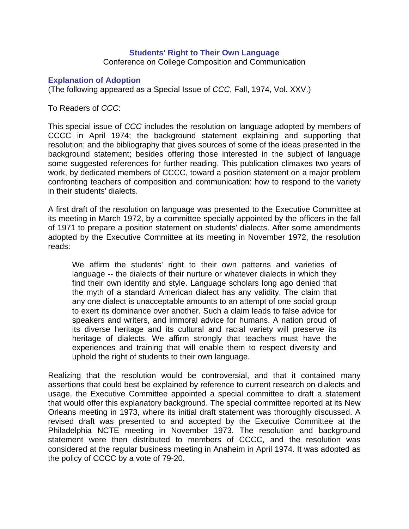#### **Students' Right to Their Own Language**

Conference on College Composition and Communication

#### **Explanation of Adoption**

(The following appeared as a Special Issue of *CCC*, Fall, 1974, Vol. XXV.)

To Readers of *CCC*:

This special issue of *CCC* includes the resolution on language adopted by members of CCCC in April 1974; the background statement explaining and supporting that resolution; and the bibliography that gives sources of some of the ideas presented in the background statement; besides offering those interested in the subject of language some suggested references for further reading. This publication climaxes two years of work, by dedicated members of CCCC, toward a position statement on a major problem confronting teachers of composition and communication: how to respond to the variety in their students' dialects.

A first draft of the resolution on language was presented to the Executive Committee at its meeting in March 1972, by a committee specially appointed by the officers in the fall of 1971 to prepare a position statement on students' dialects. After some amendments adopted by the Executive Committee at its meeting in November 1972, the resolution reads:

We affirm the students' right to their own patterns and varieties of language -- the dialects of their nurture or whatever dialects in which they find their own identity and style. Language scholars long ago denied that the myth of a standard American dialect has any validity. The claim that any one dialect is unacceptable amounts to an attempt of one social group to exert its dominance over another. Such a claim leads to false advice for speakers and writers, and immoral advice for humans. A nation proud of its diverse heritage and its cultural and racial variety will preserve its heritage of dialects. We affirm strongly that teachers must have the experiences and training that will enable them to respect diversity and uphold the right of students to their own language.

Realizing that the resolution would be controversial, and that it contained many assertions that could best be explained by reference to current research on dialects and usage, the Executive Committee appointed a special committee to draft a statement that would offer this explanatory background. The special committee reported at its New Orleans meeting in 1973, where its initial draft statement was thoroughly discussed. A revised draft was presented to and accepted by the Executive Committee at the Philadelphia NCTE meeting in November 1973. The resolution and background statement were then distributed to members of CCCC, and the resolution was considered at the regular business meeting in Anaheim in April 1974. It was adopted as the policy of CCCC by a vote of 79-20.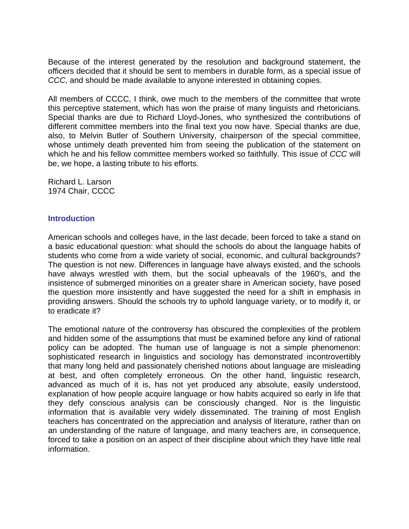Because of the interest generated by the resolution and background statement, the officers decided that it should be sent to members in durable form, as a special issue of *CCC*, and should be made available to anyone interested in obtaining copies.

All members of CCCC, I think, owe much to the members of the committee that wrote this perceptive statement, which has won the praise of many linguists and rhetoricians. Special thanks are due to Richard Lloyd-Jones, who synthesized the contributions of different committee members into the final text you now have. Special thanks are due, also, to Melvin Butler of Southern University, chairperson of the special committee, whose untimely death prevented him from seeing the publication of the statement on which he and his fellow committee members worked so faithfully. This issue of *CCC* will be, we hope, a lasting tribute to his efforts.

Richard L. Larson 1974 Chair, CCCC

## **Introduction**

American schools and colleges have, in the last decade, been forced to take a stand on a basic educational question: what should the schools do about the language habits of students who come from a wide variety of social, economic, and cultural backgrounds? The question is not new. Differences in language have always existed, and the schools have always wrestled with them, but the social upheavals of the 1960's, and the insistence of submerged minorities on a greater share in American society, have posed the question more insistently and have suggested the need for a shift in emphasis in providing answers. Should the schools try to uphold language variety, or to modify it, or to eradicate it?

The emotional nature of the controversy has obscured the complexities of the problem and hidden some of the assumptions that must be examined before any kind of rational policy can be adopted. The human use of language is not a simple phenomenon: sophisticated research in linguistics and sociology has demonstrated incontrovertibly that many long held and passionately cherished notions about language are misleading at best, and often completely erroneous. On the other hand, linguistic research, advanced as much of it is, has not yet produced any absolute, easily understood, explanation of how people acquire language or how habits acquired so early in life that they defy conscious analysis can be consciously changed. Nor is the linguistic information that is available very widely disseminated. The training of most English teachers has concentrated on the appreciation and analysis of literature, rather than on an understanding of the nature of language, and many teachers are, in consequence, forced to take a position on an aspect of their discipline about which they have little real information.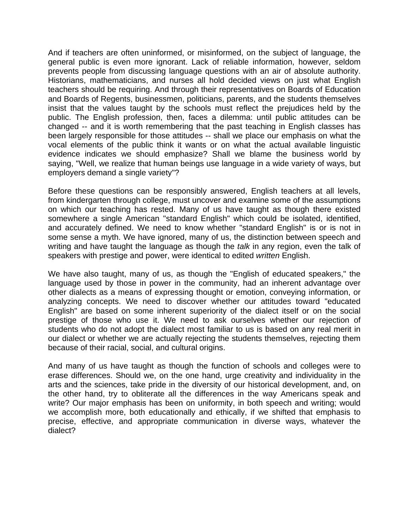And if teachers are often uninformed, or misinformed, on the subject of language, the general public is even more ignorant. Lack of reliable information, however, seldom prevents people from discussing language questions with an air of absolute authority. Historians, mathematicians, and nurses all hold decided views on just what English teachers should be requiring. And through their representatives on Boards of Education and Boards of Regents, businessmen, politicians, parents, and the students themselves insist that the values taught by the schools must reflect the prejudices held by the public. The English profession, then, faces a dilemma: until public attitudes can be changed -- and it is worth remembering that the past teaching in English classes has been largely responsible for those attitudes -- shall we place our emphasis on what the vocal elements of the public think it wants or on what the actual available linguistic evidence indicates we should emphasize? Shall we blame the business world by saying, "Well, we realize that human beings use language in a wide variety of ways, but employers demand a single variety"?

Before these questions can be responsibly answered, English teachers at all levels, from kindergarten through college, must uncover and examine some of the assumptions on which our teaching has rested. Many of us have taught as though there existed somewhere a single American "standard English" which could be isolated, identified, and accurately defined. We need to know whether "standard English" is or is not in some sense a myth. We have ignored, many of us, the distinction between speech and writing and have taught the language as though the *talk* in any region, even the talk of speakers with prestige and power, were identical to edited *written* English.

We have also taught, many of us, as though the "English of educated speakers," the language used by those in power in the community, had an inherent advantage over other dialects as a means of expressing thought or emotion, conveying information, or analyzing concepts. We need to discover whether our attitudes toward "educated English" are based on some inherent superiority of the dialect itself or on the social prestige of those who use it. We need to ask ourselves whether our rejection of students who do not adopt the dialect most familiar to us is based on any real merit in our dialect or whether we are actually rejecting the students themselves, rejecting them because of their racial, social, and cultural origins.

And many of us have taught as though the function of schools and colleges were to erase differences. Should we, on the one hand, urge creativity and individuality in the arts and the sciences, take pride in the diversity of our historical development, and, on the other hand, try to obliterate all the differences in the way Americans speak and write? Our major emphasis has been on uniformity, in both speech and writing; would we accomplish more, both educationally and ethically, if we shifted that emphasis to precise, effective, and appropriate communication in diverse ways, whatever the dialect?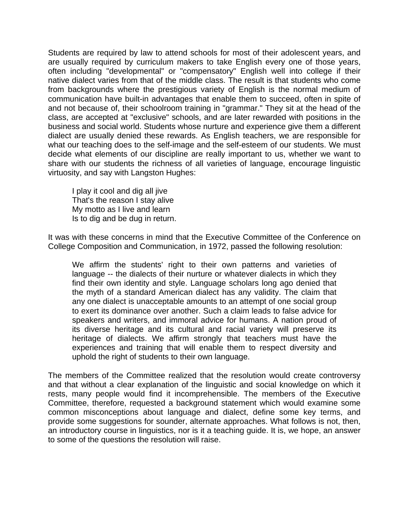Students are required by law to attend schools for most of their adolescent years, and are usually required by curriculum makers to take English every one of those years, often including "developmental" or "compensatory" English well into college if their native dialect varies from that of the middle class. The result is that students who come from backgrounds where the prestigious variety of English is the normal medium of communication have built-in advantages that enable them to succeed, often in spite of and not because of, their schoolroom training in "grammar." They sit at the head of the class, are accepted at "exclusive" schools, and are later rewarded with positions in the business and social world. Students whose nurture and experience give them a different dialect are usually denied these rewards. As English teachers, we are responsible for what our teaching does to the self-image and the self-esteem of our students. We must decide what elements of our discipline are really important to us, whether we want to share with our students the richness of all varieties of language, encourage linguistic virtuosity, and say with Langston Hughes:

I play it cool and dig all jive That's the reason I stay alive My motto as I live and learn Is to dig and be dug in return.

It was with these concerns in mind that the Executive Committee of the Conference on College Composition and Communication, in 1972, passed the following resolution:

We affirm the students' right to their own patterns and varieties of language -- the dialects of their nurture or whatever dialects in which they find their own identity and style. Language scholars long ago denied that the myth of a standard American dialect has any validity. The claim that any one dialect is unacceptable amounts to an attempt of one social group to exert its dominance over another. Such a claim leads to false advice for speakers and writers, and immoral advice for humans. A nation proud of its diverse heritage and its cultural and racial variety will preserve its heritage of dialects. We affirm strongly that teachers must have the experiences and training that will enable them to respect diversity and uphold the right of students to their own language.

The members of the Committee realized that the resolution would create controversy and that without a clear explanation of the linguistic and social knowledge on which it rests, many people would find it incomprehensible. The members of the Executive Committee, therefore, requested a background statement which would examine some common misconceptions about language and dialect, define some key terms, and provide some suggestions for sounder, alternate approaches. What follows is not, then, an introductory course in linguistics, nor is it a teaching guide. It is, we hope, an answer to some of the questions the resolution will raise.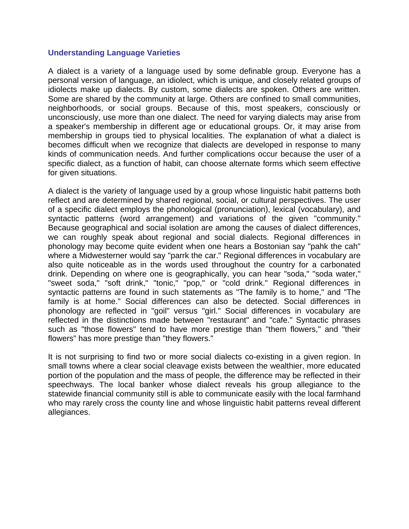#### **Understanding Language Varieties**

A dialect is a variety of a language used by some definable group. Everyone has a personal version of language, an idiolect, which is unique, and closely related groups of idiolects make up dialects. By custom, some dialects are spoken. Others are written. Some are shared by the community at large. Others are confined to small communities, neighborhoods, or social groups. Because of this, most speakers, consciously or unconsciously, use more than one dialect. The need for varying dialects may arise from a speaker's membership in different age or educational groups. Or, it may arise from membership in groups tied to physical localities. The explanation of what a dialect is becomes difficult when we recognize that dialects are developed in response to many kinds of communication needs. And further complications occur because the user of a specific dialect, as a function of habit, can choose alternate forms which seem effective for given situations.

A dialect is the variety of language used by a group whose linguistic habit patterns both reflect and are determined by shared regional, social, or cultural perspectives. The user of a specific dialect employs the phonological (pronunciation), lexical (vocabulary), and syntactic patterns (word arrangement) and variations of the given "community." Because geographical and social isolation are among the causes of dialect differences, we can roughly speak about regional and social dialects. Regional differences in phonology may become quite evident when one hears a Bostonian say "pahk the cah" where a Midwesterner would say "parrk the car." Regional differences in vocabulary are also quite noticeable as in the words used throughout the country for a carbonated drink. Depending on where one is geographically, you can hear "soda," "soda water," "sweet soda," "soft drink," "tonic," "pop," or "cold drink." Regional differences in syntactic patterns are found in such statements as "The family is to home," and "The family is at home." Social differences can also be detected. Social differences in phonology are reflected in "goil" versus "girl." Social differences in vocabulary are reflected in the distinctions made between "restaurant" and "cafe." Syntactic phrases such as "those flowers" tend to have more prestige than "them flowers," and "their flowers" has more prestige than "they flowers."

It is not surprising to find two or more social dialects co-existing in a given region. In small towns where a clear social cleavage exists between the wealthier, more educated portion of the population and the mass of people, the difference may be reflected in their speechways. The local banker whose dialect reveals his group allegiance to the statewide financial community still is able to communicate easily with the local farmhand who may rarely cross the county line and whose linguistic habit patterns reveal different allegiances.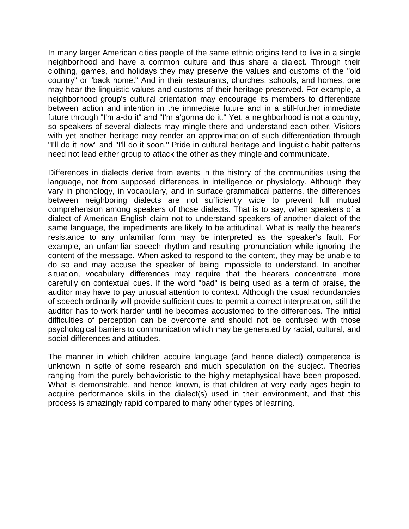In many larger American cities people of the same ethnic origins tend to live in a single neighborhood and have a common culture and thus share a dialect. Through their clothing, games, and holidays they may preserve the values and customs of the "old country" or "back home." And in their restaurants, churches, schools, and homes, one may hear the linguistic values and customs of their heritage preserved. For example, a neighborhood group's cultural orientation may encourage its members to differentiate between action and intention in the immediate future and in a still-further immediate future through "I'm a-do it" and "I'm a'gonna do it." Yet, a neighborhood is not a country, so speakers of several dialects may mingle there and understand each other. Visitors with yet another heritage may render an approximation of such differentiation through "I'll do it now" and "I'll do it soon." Pride in cultural heritage and linguistic habit patterns need not lead either group to attack the other as they mingle and communicate.

Differences in dialects derive from events in the history of the communities using the language, not from supposed differences in intelligence or physiology. Although they vary in phonology, in vocabulary, and in surface grammatical patterns, the differences between neighboring dialects are not sufficiently wide to prevent full mutual comprehension among speakers of those dialects. That is to say, when speakers of a dialect of American English claim not to understand speakers of another dialect of the same language, the impediments are likely to be attitudinal. What is really the hearer's resistance to any unfamiliar form may be interpreted as the speaker's fault. For example, an unfamiliar speech rhythm and resulting pronunciation while ignoring the content of the message. When asked to respond to the content, they may be unable to do so and may accuse the speaker of being impossible to understand. In another situation, vocabulary differences may require that the hearers concentrate more carefully on contextual cues. If the word "bad" is being used as a term of praise, the auditor may have to pay unusual attention to context. Although the usual redundancies of speech ordinarily will provide sufficient cues to permit a correct interpretation, still the auditor has to work harder until he becomes accustomed to the differences. The initial difficulties of perception can be overcome and should not be confused with those psychological barriers to communication which may be generated by racial, cultural, and social differences and attitudes.

The manner in which children acquire language (and hence dialect) competence is unknown in spite of some research and much speculation on the subject. Theories ranging from the purely behavioristic to the highly metaphysical have been proposed. What is demonstrable, and hence known, is that children at very early ages begin to acquire performance skills in the dialect(s) used in their environment, and that this process is amazingly rapid compared to many other types of learning.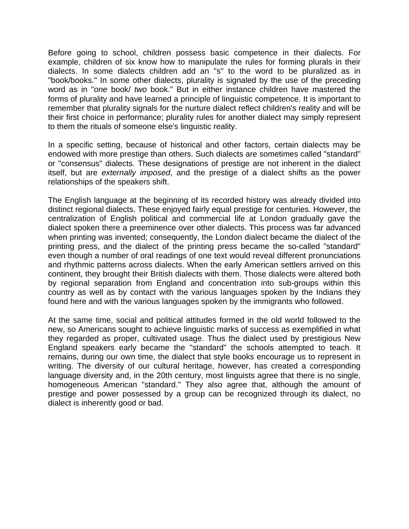Before going to school, children possess basic competence in their dialects. For example, children of six know how to manipulate the rules for forming plurals in their dialects. In some dialects children add an "s" to the word to be pluralized as in "book/books." In some other dialects, plurality is signaled by the use of the preceding word as in "*one* book/ *two* book." But in either instance children have mastered the forms of plurality and have learned a principle of linguistic competence. It is important to remember that plurality signals for the nurture dialect reflect children's reality and will be their first choice in performance; plurality rules for another dialect may simply represent to them the rituals of someone else's linguistic reality.

In a specific setting, because of historical and other factors, certain dialects may be endowed with more prestige than others. Such dialects are sometimes called "standard" or "consensus" dialects. These designations of prestige are not inherent in the dialect itself, but are *externally imposed*, and the prestige of a dialect shifts as the power relationships of the speakers shift.

The English language at the beginning of its recorded history was already divided into distinct regional dialects. These enjoyed fairly equal prestige for centuries. However, the centralization of English political and commercial life at London gradually gave the dialect spoken there a preeminence over other dialects. This process was far advanced when printing was invented; consequently, the London dialect became the dialect of the printing press, and the dialect of the printing press became the so-called "standard" even though a number of oral readings of one text would reveal different pronunciations and rhythmic patterns across dialects. When the early American settlers arrived on this continent, they brought their British dialects with them. Those dialects were altered both by regional separation from England and concentration into sub-groups within this country as well as by contact with the various languages spoken by the Indians they found here and with the various languages spoken by the immigrants who followed.

At the same time, social and political attitudes formed in the old world followed to the new, so Americans sought to achieve linguistic marks of success as exemplified in what they regarded as proper, cultivated usage. Thus the dialect used by prestigious New England speakers early became the "standard" the schools attempted to teach. It remains, during our own time, the dialect that style books encourage us to represent in writing. The diversity of our cultural heritage, however, has created a corresponding language diversity and, in the 20th century, most linguists agree that there is no single, homogeneous American "standard." They also agree that, although the amount of prestige and power possessed by a group can be recognized through its dialect, no dialect is inherently good or bad.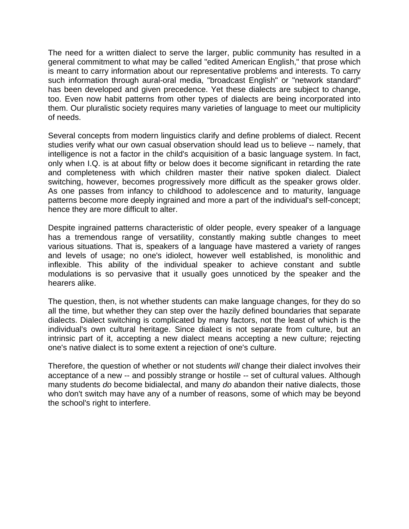The need for a written dialect to serve the larger, public community has resulted in a general commitment to what may be called "edited American English," that prose which is meant to carry information about our representative problems and interests. To carry such information through aural-oral media, "broadcast English" or "network standard" has been developed and given precedence. Yet these dialects are subject to change, too. Even now habit patterns from other types of dialects are being incorporated into them. Our pluralistic society requires many varieties of language to meet our multiplicity of needs.

Several concepts from modern linguistics clarify and define problems of dialect. Recent studies verify what our own casual observation should lead us to believe -- namely, that intelligence is not a factor in the child's acquisition of a basic language system. In fact, only when I.Q. is at about fifty or below does it become significant in retarding the rate and completeness with which children master their native spoken dialect. Dialect switching, however, becomes progressively more difficult as the speaker grows older. As one passes from infancy to childhood to adolescence and to maturity, language patterns become more deeply ingrained and more a part of the individual's self-concept; hence they are more difficult to alter.

Despite ingrained patterns characteristic of older people, every speaker of a language has a tremendous range of versatility, constantly making subtle changes to meet various situations. That is, speakers of a language have mastered a variety of ranges and levels of usage; no one's idiolect, however well established, is monolithic and inflexible. This ability of the individual speaker to achieve constant and subtle modulations is so pervasive that it usually goes unnoticed by the speaker and the hearers alike.

The question, then, is not whether students can make language changes, for they do so all the time, but whether they can step over the hazily defined boundaries that separate dialects. Dialect switching is complicated by many factors, not the least of which is the individual's own cultural heritage. Since dialect is not separate from culture, but an intrinsic part of it, accepting a new dialect means accepting a new culture; rejecting one's native dialect is to some extent a rejection of one's culture.

Therefore, the question of whether or not students *will* change their dialect involves their acceptance of a new -- and possibly strange or hostile -- set of cultural values. Although many students *do* become bidialectal, and many *do* abandon their native dialects, those who don't switch may have any of a number of reasons, some of which may be beyond the school's right to interfere.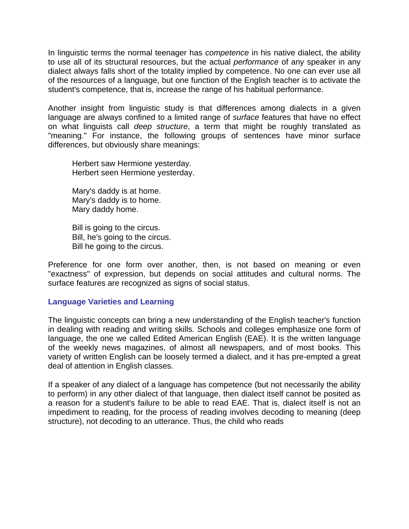In linguistic terms the normal teenager has *competence* in his native dialect, the ability to use all of its structural resources, but the actual *performance* of any speaker in any dialect always falls short of the totality implied by competence. No one can ever use all of the resources of a language, but one function of the English teacher is to activate the student's competence, that is, increase the range of his habitual performance.

Another insight from linguistic study is that differences among dialects in a given language are always confined to a limited range of *surface* features that have no effect on what linguists call *deep structure*, a term that might be roughly translated as "meaning." For instance, the following groups of sentences have minor surface differences, but obviously share meanings:

Herbert saw Hermione yesterday. Herbert seen Hermione yesterday.

Mary's daddy is at home. Mary's daddy is to home. Mary daddy home.

Bill is going to the circus. Bill, he's going to the circus. Bill he going to the circus.

Preference for one form over another, then, is not based on meaning or even "exactness" of expression, but depends on social attitudes and cultural norms. The surface features are recognized as signs of social status.

## **Language Varieties and Learning**

The linguistic concepts can bring a new understanding of the English teacher's function in dealing with reading and writing skills. Schools and colleges emphasize one form of language, the one we called Edited American English (EAE). It is the written language of the weekly news magazines, of almost all newspapers, and of most books. This variety of written English can be loosely termed a dialect, and it has pre-empted a great deal of attention in English classes.

If a speaker of any dialect of a language has competence (but not necessarily the ability to perform) in any other dialect of that language, then dialect itself cannot be posited as a reason for a student's failure to be able to read EAE. That is, dialect itself is not an impediment to reading, for the process of reading involves decoding to meaning (deep structure), not decoding to an utterance. Thus, the child who reads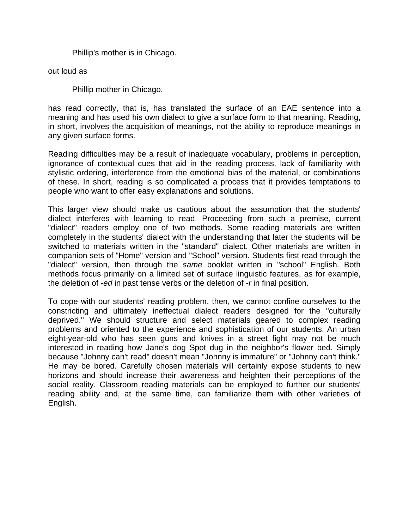Phillip's mother is in Chicago.

out loud as

Phillip mother in Chicago.

has read correctly, that is, has translated the surface of an EAE sentence into a meaning and has used his own dialect to give a surface form to that meaning. Reading, in short, involves the acquisition of meanings, not the ability to reproduce meanings in any given surface forms.

Reading difficulties may be a result of inadequate vocabulary, problems in perception, ignorance of contextual cues that aid in the reading process, lack of familiarity with stylistic ordering, interference from the emotional bias of the material, or combinations of these. In short, reading is so complicated a process that it provides temptations to people who want to offer easy explanations and solutions.

This larger view should make us cautious about the assumption that the students' dialect interferes with learning to read. Proceeding from such a premise, current "dialect" readers employ one of two methods. Some reading materials are written completely in the students' dialect with the understanding that later the students will be switched to materials written in the "standard" dialect. Other materials are written in companion sets of "Home" version and "School" version. Students first read through the "dialect" version, then through the *same* booklet written in "school" English. Both methods focus primarily on a limited set of surface linguistic features, as for example, the deletion of *-ed* in past tense verbs or the deletion of *-r* in final position.

To cope with our students' reading problem, then, we cannot confine ourselves to the constricting and ultimately ineffectual dialect readers designed for the "culturally deprived." We should structure and select materials geared to complex reading problems and oriented to the experience and sophistication of our students. An urban eight-year-old who has seen guns and knives in a street fight may not be much interested in reading how Jane's dog Spot dug in the neighbor's flower bed. Simply because "Johnny can't read" doesn't mean "Johnny is immature" or "Johnny can't think." He may be bored. Carefully chosen materials will certainly expose students to new horizons and should increase their awareness and heighten their perceptions of the social reality. Classroom reading materials can be employed to further our students' reading ability and, at the same time, can familiarize them with other varieties of English.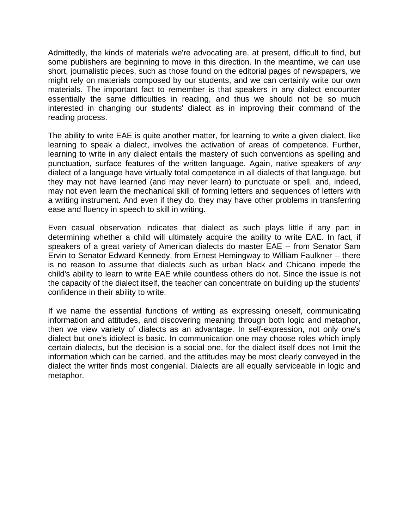Admittedly, the kinds of materials we're advocating are, at present, difficult to find, but some publishers are beginning to move in this direction. In the meantime, we can use short, journalistic pieces, such as those found on the editorial pages of newspapers, we might rely on materials composed by our students, and we can certainly write our own materials. The important fact to remember is that speakers in any dialect encounter essentially the same difficulties in reading, and thus we should not be so much interested in changing our students' dialect as in improving their command of the reading process.

The ability to write EAE is quite another matter, for learning to write a given dialect, like learning to speak a dialect, involves the activation of areas of competence. Further, learning to write in any dialect entails the mastery of such conventions as spelling and punctuation, surface features of the written language. Again, native speakers of *any* dialect of a language have virtually total competence in all dialects of that language, but they may not have learned (and may never learn) to punctuate or spell, and, indeed, may not even learn the mechanical skill of forming letters and sequences of letters with a writing instrument. And even if they do, they may have other problems in transferring ease and fluency in speech to skill in writing.

Even casual observation indicates that dialect as such plays little if any part in determining whether a child will ultimately acquire the ability to write EAE. In fact, if speakers of a great variety of American dialects do master EAE -- from Senator Sam Ervin to Senator Edward Kennedy, from Ernest Hemingway to William Faulkner -- there is no reason to assume that dialects such as urban black and Chicano impede the child's ability to learn to write EAE while countless others do not. Since the issue is not the capacity of the dialect itself, the teacher can concentrate on building up the students' confidence in their ability to write.

If we name the essential functions of writing as expressing oneself, communicating information and attitudes, and discovering meaning through both logic and metaphor, then we view variety of dialects as an advantage. In self-expression, not only one's dialect but one's idiolect is basic. In communication one may choose roles which imply certain dialects, but the decision is a social one, for the dialect itself does not limit the information which can be carried, and the attitudes may be most clearly conveyed in the dialect the writer finds most congenial. Dialects are all equally serviceable in logic and metaphor.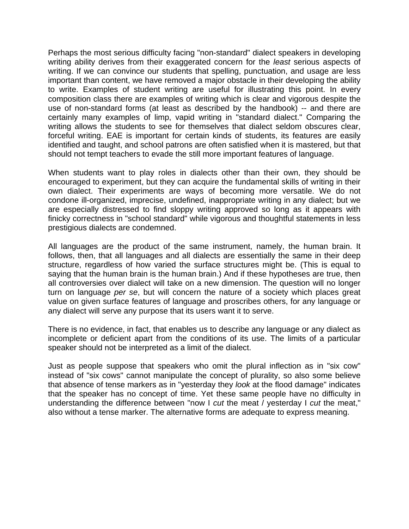Perhaps the most serious difficulty facing "non-standard" dialect speakers in developing writing ability derives from their exaggerated concern for the *least* serious aspects of writing. If we can convince our students that spelling, punctuation, and usage are less important than content, we have removed a major obstacle in their developing the ability to write. Examples of student writing are useful for illustrating this point. In every composition class there are examples of writing which is clear and vigorous despite the use of non-standard forms (at least as described by the handbook) -- and there are certainly many examples of limp, vapid writing in "standard dialect." Comparing the writing allows the students to see for themselves that dialect seldom obscures clear, forceful writing. EAE is important for certain kinds of students, its features are easily identified and taught, and school patrons are often satisfied when it is mastered, but that should not tempt teachers to evade the still more important features of language.

When students want to play roles in dialects other than their own, they should be encouraged to experiment, but they can acquire the fundamental skills of writing in their own dialect. Their experiments are ways of becoming more versatile. We do not condone ill-organized, imprecise, undefined, inappropriate writing in any dialect; but we are especially distressed to find sloppy writing approved so long as it appears with finicky correctness in "school standard" while vigorous and thoughtful statements in less prestigious dialects are condemned.

All languages are the product of the same instrument, namely, the human brain. It follows, then, that all languages and all dialects are essentially the same in their deep structure, regardless of how varied the surface structures might be. (This is equal to saying that the human brain is the human brain.) And if these hypotheses are true, then all controversies over dialect will take on a new dimension. The question will no longer turn on language *per se*, but will concern the nature of a society which places great value on given surface features of language and proscribes others, for any language or any dialect will serve any purpose that its users want it to serve.

There is no evidence, in fact, that enables us to describe any language or any dialect as incomplete or deficient apart from the conditions of its use. The limits of a particular speaker should not be interpreted as a limit of the dialect.

Just as people suppose that speakers who omit the plural inflection as in "six cow" instead of "six cows" cannot manipulate the concept of plurality, so also some believe that absence of tense markers as in "yesterday they *look* at the flood damage" indicates that the speaker has no concept of time. Yet these same people have no difficulty in understanding the difference between "now I *cut* the meat / yesterday I *cut* the meat," also without a tense marker. The alternative forms are adequate to express meaning.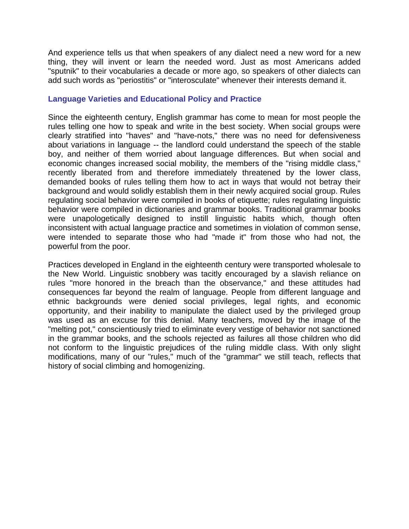And experience tells us that when speakers of any dialect need a new word for a new thing, they will invent or learn the needed word. Just as most Americans added "sputnik" to their vocabularies a decade or more ago, so speakers of other dialects can add such words as "periostitis" or "interosculate" whenever their interests demand it.

#### **Language Varieties and Educational Policy and Practice**

Since the eighteenth century, English grammar has come to mean for most people the rules telling one how to speak and write in the best society. When social groups were clearly stratified into "haves" and "have-nots," there was no need for defensiveness about variations in language -- the landlord could understand the speech of the stable boy, and neither of them worried about language differences. But when social and economic changes increased social mobility, the members of the "rising middle class," recently liberated from and therefore immediately threatened by the lower class, demanded books of rules telling them how to act in ways that would not betray their background and would solidly establish them in their newly acquired social group. Rules regulating social behavior were compiled in books of etiquette; rules regulating linguistic behavior were compiled in dictionaries and grammar books. Traditional grammar books were unapologetically designed to instill linguistic habits which, though often inconsistent with actual language practice and sometimes in violation of common sense, were intended to separate those who had "made it" from those who had not, the powerful from the poor.

Practices developed in England in the eighteenth century were transported wholesale to the New World. Linguistic snobbery was tacitly encouraged by a slavish reliance on rules "more honored in the breach than the observance," and these attitudes had consequences far beyond the realm of language. People from different language and ethnic backgrounds were denied social privileges, legal rights, and economic opportunity, and their inability to manipulate the dialect used by the privileged group was used as an excuse for this denial. Many teachers, moved by the image of the "melting pot," conscientiously tried to eliminate every vestige of behavior not sanctioned in the grammar books, and the schools rejected as failures all those children who did not conform to the linguistic prejudices of the ruling middle class. With only slight modifications, many of our "rules," much of the "grammar" we still teach, reflects that history of social climbing and homogenizing.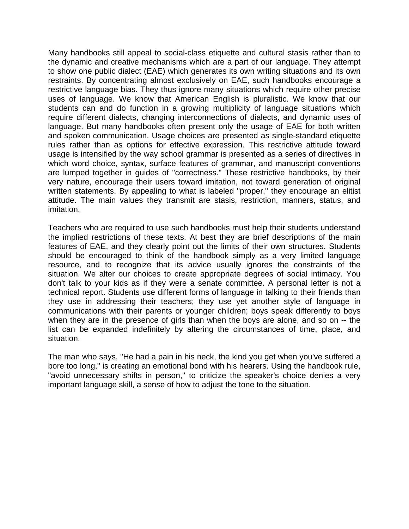Many handbooks still appeal to social-class etiquette and cultural stasis rather than to the dynamic and creative mechanisms which are a part of our language. They attempt to show one public dialect (EAE) which generates its own writing situations and its own restraints. By concentrating almost exclusively on EAE, such handbooks encourage a restrictive language bias. They thus ignore many situations which require other precise uses of language. We know that American English is pluralistic. We know that our students can and do function in a growing multiplicity of language situations which require different dialects, changing interconnections of dialects, and dynamic uses of language. But many handbooks often present only the usage of EAE for both written and spoken communication. Usage choices are presented as single-standard etiquette rules rather than as options for effective expression. This restrictive attitude toward usage is intensified by the way school grammar is presented as a series of directives in which word choice, syntax, surface features of grammar, and manuscript conventions are lumped together in guides of "correctness." These restrictive handbooks, by their very nature, encourage their users toward imitation, not toward generation of original written statements. By appealing to what is labeled "proper," they encourage an elitist attitude. The main values they transmit are stasis, restriction, manners, status, and imitation.

Teachers who are required to use such handbooks must help their students understand the implied restrictions of these texts. At best they are brief descriptions of the main features of EAE, and they clearly point out the limits of their own structures. Students should be encouraged to think of the handbook simply as a very limited language resource, and to recognize that its advice usually ignores the constraints of the situation. We alter our choices to create appropriate degrees of social intimacy. You don't talk to your kids as if they were a senate committee. A personal letter is not a technical report. Students use different forms of language in talking to their friends than they use in addressing their teachers; they use yet another style of language in communications with their parents or younger children; boys speak differently to boys when they are in the presence of girls than when the boys are alone, and so on -- the list can be expanded indefinitely by altering the circumstances of time, place, and situation.

The man who says, "He had a pain in his neck, the kind you get when you've suffered a bore too long," is creating an emotional bond with his hearers. Using the handbook rule, "avoid unnecessary shifts in person," to criticize the speaker's choice denies a very important language skill, a sense of how to adjust the tone to the situation.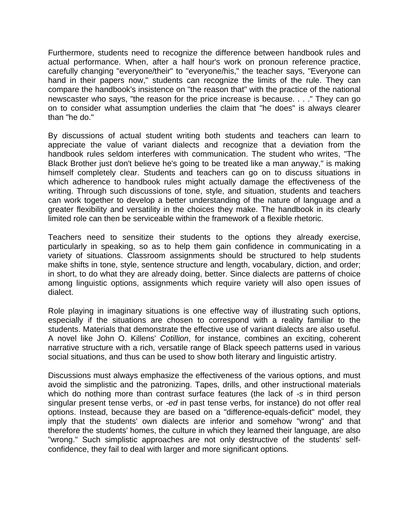Furthermore, students need to recognize the difference between handbook rules and actual performance. When, after a half hour's work on pronoun reference practice, carefully changing "everyone/their" to "everyone/his," the teacher says, "Everyone can hand in their papers now," students can recognize the limits of the rule. They can compare the handbook's insistence on "the reason that" with the practice of the national newscaster who says, "the reason for the price increase is because. . . ." They can go on to consider what assumption underlies the claim that "he does" is always clearer than "he do."

By discussions of actual student writing both students and teachers can learn to appreciate the value of variant dialects and recognize that a deviation from the handbook rules seldom interferes with communication. The student who writes, "The Black Brother just don't believe he's going to be treated like a man anyway," is making himself completely clear. Students and teachers can go on to discuss situations in which adherence to handbook rules might actually damage the effectiveness of the writing. Through such discussions of tone, style, and situation, students and teachers can work together to develop a better understanding of the nature of language and a greater flexibility and versatility in the choices they make. The handbook in its clearly limited role can then be serviceable within the framework of a flexible rhetoric.

Teachers need to sensitize their students to the options they already exercise, particularly in speaking, so as to help them gain confidence in communicating in a variety of situations. Classroom assignments should be structured to help students make shifts in tone, style, sentence structure and length, vocabulary, diction, and order; in short, to do what they are already doing, better. Since dialects are patterns of choice among linguistic options, assignments which require variety will also open issues of dialect.

Role playing in imaginary situations is one effective way of illustrating such options, especially if the situations are chosen to correspond with a reality familiar to the students. Materials that demonstrate the effective use of variant dialects are also useful. A novel like John O. Killens' *Cotillion*, for instance, combines an exciting, coherent narrative structure with a rich, versatile range of Black speech patterns used in various social situations, and thus can be used to show both literary and linguistic artistry.

Discussions must always emphasize the effectiveness of the various options, and must avoid the simplistic and the patronizing. Tapes, drills, and other instructional materials which do nothing more than contrast surface features (the lack of *-s* in third person singular present tense verbs, or *-ed* in past tense verbs, for instance) do not offer real options. Instead, because they are based on a "difference-equals-deficit" model, they imply that the students' own dialects are inferior and somehow "wrong" and that therefore the students' homes, the culture in which they learned their language, are also "wrong." Such simplistic approaches are not only destructive of the students' selfconfidence, they fail to deal with larger and more significant options.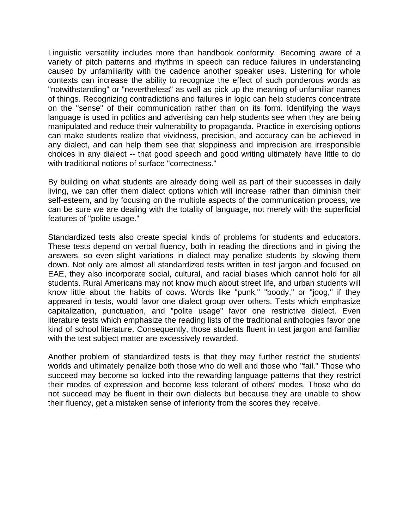Linguistic versatility includes more than handbook conformity. Becoming aware of a variety of pitch patterns and rhythms in speech can reduce failures in understanding caused by unfamiliarity with the cadence another speaker uses. Listening for whole contexts can increase the ability to recognize the effect of such ponderous words as "notwithstanding" or "nevertheless" as well as pick up the meaning of unfamiliar names of things. Recognizing contradictions and failures in logic can help students concentrate on the "sense" of their communication rather than on its form. Identifying the ways language is used in politics and advertising can help students see when they are being manipulated and reduce their vulnerability to propaganda. Practice in exercising options can make students realize that vividness, precision, and accuracy can be achieved in any dialect, and can help them see that sloppiness and imprecision are irresponsible choices in any dialect -- that good speech and good writing ultimately have little to do with traditional notions of surface "correctness."

By building on what students are already doing well as part of their successes in daily living, we can offer them dialect options which will increase rather than diminish their self-esteem, and by focusing on the multiple aspects of the communication process, we can be sure we are dealing with the totality of language, not merely with the superficial features of "polite usage."

Standardized tests also create special kinds of problems for students and educators. These tests depend on verbal fluency, both in reading the directions and in giving the answers, so even slight variations in dialect may penalize students by slowing them down. Not only are almost all standardized tests written in test jargon and focused on EAE, they also incorporate social, cultural, and racial biases which cannot hold for all students. Rural Americans may not know much about street life, and urban students will know little about the habits of cows. Words like "punk," "boody," or "joog," if they appeared in tests, would favor one dialect group over others. Tests which emphasize capitalization, punctuation, and "polite usage" favor one restrictive dialect. Even literature tests which emphasize the reading lists of the traditional anthologies favor one kind of school literature. Consequently, those students fluent in test jargon and familiar with the test subject matter are excessively rewarded.

Another problem of standardized tests is that they may further restrict the students' worlds and ultimately penalize both those who do well and those who "fail." Those who succeed may become so locked into the rewarding language patterns that they restrict their modes of expression and become less tolerant of others' modes. Those who do not succeed may be fluent in their own dialects but because they are unable to show their fluency, get a mistaken sense of inferiority from the scores they receive.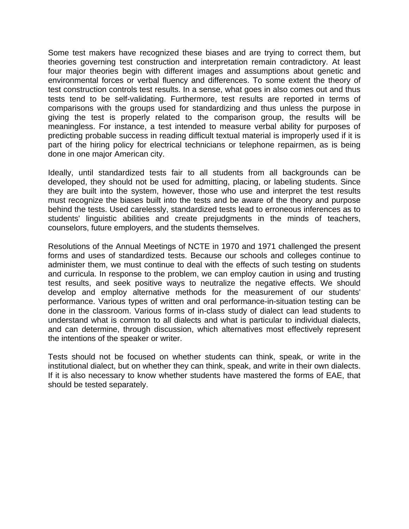Some test makers have recognized these biases and are trying to correct them, but theories governing test construction and interpretation remain contradictory. At least four major theories begin with different images and assumptions about genetic and environmental forces or verbal fluency and differences. To some extent the theory of test construction controls test results. In a sense, what goes in also comes out and thus tests tend to be self-validating. Furthermore, test results are reported in terms of comparisons with the groups used for standardizing and thus unless the purpose in giving the test is properly related to the comparison group, the results will be meaningless. For instance, a test intended to measure verbal ability for purposes of predicting probable success in reading difficult textual material is improperly used if it is part of the hiring policy for electrical technicians or telephone repairmen, as is being done in one major American city.

Ideally, until standardized tests fair to all students from all backgrounds can be developed, they should not be used for admitting, placing, or labeling students. Since they are built into the system, however, those who use and interpret the test results must recognize the biases built into the tests and be aware of the theory and purpose behind the tests. Used carelessly, standardized tests lead to erroneous inferences as to students' linguistic abilities and create prejudgments in the minds of teachers, counselors, future employers, and the students themselves.

Resolutions of the Annual Meetings of NCTE in 1970 and 1971 challenged the present forms and uses of standardized tests. Because our schools and colleges continue to administer them, we must continue to deal with the effects of such testing on students and curricula. In response to the problem, we can employ caution in using and trusting test results, and seek positive ways to neutralize the negative effects. We should develop and employ alternative methods for the measurement of our students' performance. Various types of written and oral performance-in-situation testing can be done in the classroom. Various forms of in-class study of dialect can lead students to understand what is common to all dialects and what is particular to individual dialects, and can determine, through discussion, which alternatives most effectively represent the intentions of the speaker or writer.

Tests should not be focused on whether students can think, speak, or write in the institutional dialect, but on whether they can think, speak, and write in their own dialects. If it is also necessary to know whether students have mastered the forms of EAE, that should be tested separately.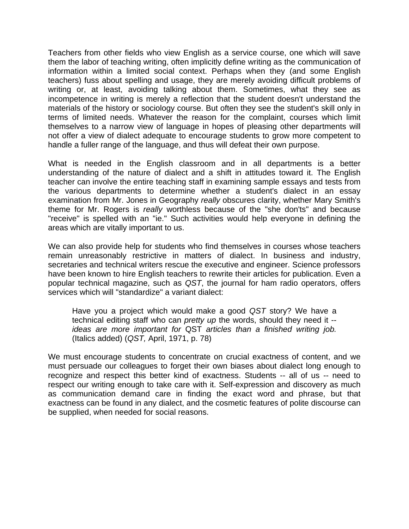Teachers from other fields who view English as a service course, one which will save them the labor of teaching writing, often implicitly define writing as the communication of information within a limited social context. Perhaps when they (and some English teachers) fuss about spelling and usage, they are merely avoiding difficult problems of writing or, at least, avoiding talking about them. Sometimes, what they see as incompetence in writing is merely a reflection that the student doesn't understand the materials of the history or sociology course. But often they see the student's skill only in terms of limited needs. Whatever the reason for the complaint, courses which limit themselves to a narrow view of language in hopes of pleasing other departments will not offer a view of dialect adequate to encourage students to grow more competent to handle a fuller range of the language, and thus will defeat their own purpose.

What is needed in the English classroom and in all departments is a better understanding of the nature of dialect and a shift in attitudes toward it. The English teacher can involve the entire teaching staff in examining sample essays and tests from the various departments to determine whether a student's dialect in an essay examination from Mr. Jones in Geography *really* obscures clarity, whether Mary Smith's theme for Mr. Rogers is *really* worthless because of the "she don'ts" and because "receive" is spelled with an "ie." Such activities would help everyone in defining the areas which are vitally important to us.

We can also provide help for students who find themselves in courses whose teachers remain unreasonably restrictive in matters of dialect. In business and industry, secretaries and technical writers rescue the executive and engineer. Science professors have been known to hire English teachers to rewrite their articles for publication. Even a popular technical magazine, such as *QST*, the journal for ham radio operators, offers services which will "standardize" a variant dialect:

Have you a project which would make a good *QST* story? We have a technical editing staff who can *pretty up* the words, should they need it - *ideas are more important for* QST *articles than a finished writing job.*  (Italics added) (*QST,* April, 1971, p. 78)

We must encourage students to concentrate on crucial exactness of content, and we must persuade our colleagues to forget their own biases about dialect long enough to recognize and respect this better kind of exactness. Students -- all of us -- need to respect our writing enough to take care with it. Self-expression and discovery as much as communication demand care in finding the exact word and phrase, but that exactness can be found in any dialect, and the cosmetic features of polite discourse can be supplied, when needed for social reasons.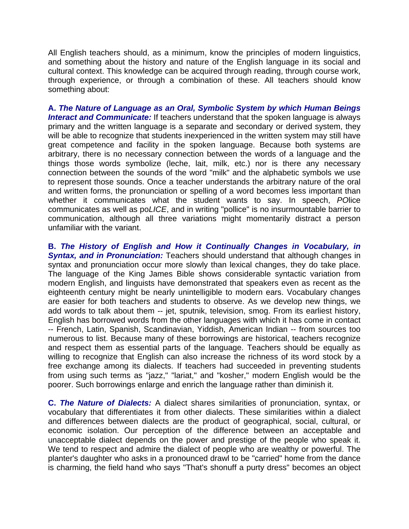All English teachers should, as a minimum, know the principles of modern linguistics, and something about the history and nature of the English language in its social and cultural context. This knowledge can be acquired through reading, through course work, through experience, or through a combination of these. All teachers should know something about:

**A.** *The Nature of Language as an Oral, Symbolic System by which Human Beings*  **Interact and Communicate:** If teachers understand that the spoken language is always primary and the written language is a separate and secondary or derived system, they will be able to recognize that students inexperienced in the written system may still have great competence and facility in the spoken language. Because both systems are arbitrary, there is no necessary connection between the words of a language and the things those words symbolize (leche, lait, milk, etc.) nor is there any necessary connection between the sounds of the word "milk" and the alphabetic symbols we use to represent those sounds. Once a teacher understands the arbitrary nature of the oral and written forms, the pronunciation or spelling of a word becomes less important than whether it communicates what the student wants to say. In speech, *PO*lice communicates as well as po*LICE*, and in writing "pollice" is no insurmountable barrier to communication, although all three variations might momentarily distract a person unfamiliar with the variant.

**B.** *The History of English and How it Continually Changes in Vocabulary, in Syntax, and in Pronunciation:* Teachers should understand that although changes in syntax and pronunciation occur more slowly than lexical changes, they do take place. The language of the King James Bible shows considerable syntactic variation from modern English, and linguists have demonstrated that speakers even as recent as the eighteenth century might be nearly unintelligible to modern ears. Vocabulary changes are easier for both teachers and students to observe. As we develop new things, we add words to talk about them -- jet, sputnik, television, smog. From its earliest history, English has borrowed words from the other languages with which it has come in contact -- French, Latin, Spanish, Scandinavian, Yiddish, American Indian -- from sources too numerous to list. Because many of these borrowings are historical, teachers recognize and respect them as essential parts of the language. Teachers should be equally as willing to recognize that English can also increase the richness of its word stock by a free exchange among its dialects. If teachers had succeeded in preventing students from using such terms as "jazz," "lariat," and "kosher," modern English would be the poorer. Such borrowings enlarge and enrich the language rather than diminish it.

**C.** *The Nature of Dialects:* A dialect shares similarities of pronunciation, syntax, or vocabulary that differentiates it from other dialects. These similarities within a dialect and differences between dialects are the product of geographical, social, cultural, or economic isolation. Our perception of the difference between an acceptable and unacceptable dialect depends on the power and prestige of the people who speak it. We tend to respect and admire the dialect of people who are wealthy or powerful. The planter's daughter who asks in a pronounced drawl to be "carried" home from the dance is charming, the field hand who says "That's shonuff a purty dress" becomes an object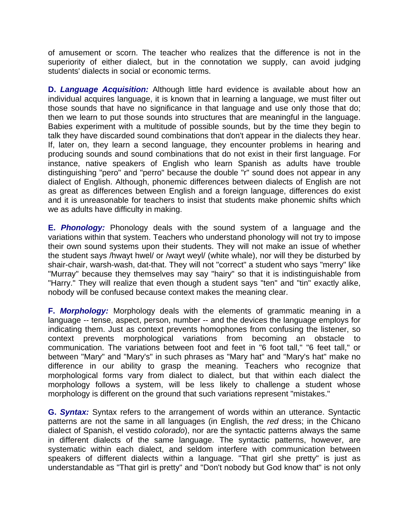of amusement or scorn. The teacher who realizes that the difference is not in the superiority of either dialect, but in the connotation we supply, can avoid judging students' dialects in social or economic terms.

**D.** *Language Acquisition:* Although little hard evidence is available about how an individual acquires language, it is known that in learning a language, we must filter out those sounds that have no significance in that language and use only those that do; then we learn to put those sounds into structures that are meaningful in the language. Babies experiment with a multitude of possible sounds, but by the time they begin to talk they have discarded sound combinations that don't appear in the dialects they hear. If, later on, they learn a second language, they encounter problems in hearing and producing sounds and sound combinations that do not exist in their first language. For instance, native speakers of English who learn Spanish as adults have trouble distinguishing "pero" and "perro" because the double "r" sound does not appear in any dialect of English. Although, phonemic differences between dialects of English are not as great as differences between English and a foreign language, differences do exist and it is unreasonable for teachers to insist that students make phonemic shifts which we as adults have difficulty in making.

**E.** *Phonology:* Phonology deals with the sound system of a language and the variations within that system. Teachers who understand phonology will not try to impose their own sound systems upon their students. They will not make an issue of whether the student says /hwayt hwel/ or /wayt weyl/ (white whale), nor will they be disturbed by shair-chair, warsh-wash, dat-that. They will not "correct" a student who says "merry" like "Murray" because they themselves may say "hairy" so that it is indistinguishable from "Harry." They will realize that even though a student says "ten" and "tin" exactly alike, nobody will be confused because context makes the meaning clear.

**F.** *Morphology:* Morphology deals with the elements of grammatic meaning in a language -- tense, aspect, person, number -- and the devices the language employs for indicating them. Just as context prevents homophones from confusing the listener, so context prevents morphological variations from becoming an obstacle to communication. The variations between foot and feet in "6 foot tall," "6 feet tall," or between "Mary" and "Mary's" in such phrases as "Mary hat" and "Mary's hat" make no difference in our ability to grasp the meaning. Teachers who recognize that morphological forms vary from dialect to dialect, but that within each dialect the morphology follows a system, will be less likely to challenge a student whose morphology is different on the ground that such variations represent "mistakes."

**G.** *Syntax:* Syntax refers to the arrangement of words within an utterance. Syntactic patterns are not the same in all languages (in English, the *red* dress; in the Chicano dialect of Spanish, el vestido *colorado*), nor are the syntactic patterns always the same in different dialects of the same language. The syntactic patterns, however, are systematic within each dialect, and seldom interfere with communication between speakers of different dialects within a language. "That girl she pretty" is just as understandable as "That girl is pretty" and "Don't nobody but God know that" is not only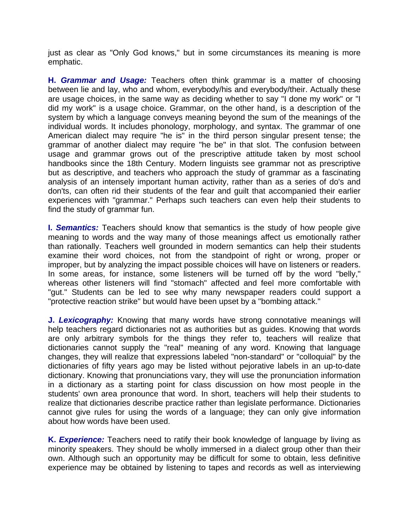just as clear as "Only God knows," but in some circumstances its meaning is more emphatic.

**H.** *Grammar and Usage:* Teachers often think grammar is a matter of choosing between lie and lay, who and whom, everybody/his and everybody/their. Actually these are usage choices, in the same way as deciding whether to say "I done my work" or "I did my work" is a usage choice. Grammar, on the other hand, is a description of the system by which a language conveys meaning beyond the sum of the meanings of the individual words. It includes phonology, morphology, and syntax. The grammar of one American dialect may require "he is" in the third person singular present tense; the grammar of another dialect may require "he be" in that slot. The confusion between usage and grammar grows out of the prescriptive attitude taken by most school handbooks since the 18th Century. Modern linguists see grammar not as prescriptive but as descriptive, and teachers who approach the study of grammar as a fascinating analysis of an intensely important human activity, rather than as a series of do's and don'ts, can often rid their students of the fear and guilt that accompanied their earlier experiences with "grammar." Perhaps such teachers can even help their students to find the study of grammar fun.

**I.** *Semantics:* Teachers should know that semantics is the study of how people give meaning to words and the way many of those meanings affect us emotionally rather than rationally. Teachers well grounded in modern semantics can help their students examine their word choices, not from the standpoint of right or wrong, proper or improper, but by analyzing the impact possible choices will have on listeners or readers. In some areas, for instance, some listeners will be turned off by the word "belly," whereas other listeners will find "stomach" affected and feel more comfortable with "gut." Students can be led to see why many newspaper readers could support a "protective reaction strike" but would have been upset by a "bombing attack."

**J. Lexicography:** Knowing that many words have strong connotative meanings will help teachers regard dictionaries not as authorities but as guides. Knowing that words are only arbitrary symbols for the things they refer to, teachers will realize that dictionaries cannot supply the "real" meaning of any word. Knowing that language changes, they will realize that expressions labeled "non-standard" or "colloquial" by the dictionaries of fifty years ago may be listed without pejorative labels in an up-to-date dictionary. Knowing that pronunciations vary, they will use the pronunciation information in a dictionary as a starting point for class discussion on how most people in the students' own area pronounce that word. In short, teachers will help their students to realize that dictionaries describe practice rather than legislate performance. Dictionaries cannot give rules for using the words of a language; they can only give information about how words have been used.

**K. Experience:** Teachers need to ratify their book knowledge of language by living as minority speakers. They should be wholly immersed in a dialect group other than their own. Although such an opportunity may be difficult for some to obtain, less definitive experience may be obtained by listening to tapes and records as well as interviewing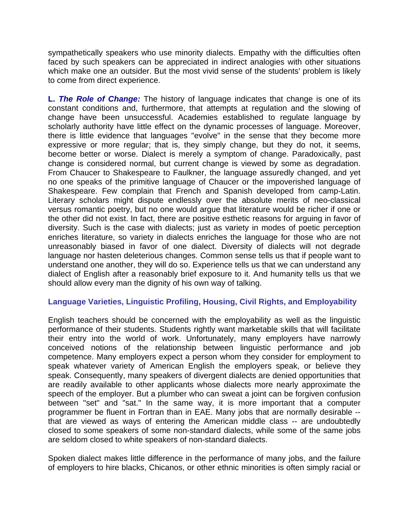sympathetically speakers who use minority dialects. Empathy with the difficulties often faced by such speakers can be appreciated in indirect analogies with other situations which make one an outsider. But the most vivid sense of the students' problem is likely to come from direct experience.

**L.** *The Role of Change:* The history of language indicates that change is one of its constant conditions and, furthermore, that attempts at regulation and the slowing of change have been unsuccessful. Academies established to regulate language by scholarly authority have little effect on the dynamic processes of language. Moreover, there is little evidence that languages "evolve" in the sense that they become more expressive or more regular; that is, they simply change, but they do not, it seems, become better or worse. Dialect is merely a symptom of change. Paradoxically, past change is considered normal, but current change is viewed by some as degradation. From Chaucer to Shakespeare to Faulkner, the language assuredly changed, and yet no one speaks of the primitive language of Chaucer or the impoverished language of Shakespeare. Few complain that French and Spanish developed from camp-Latin. Literary scholars might dispute endlessly over the absolute merits of neo-classical versus romantic poetry, but no one would argue that literature would be richer if one or the other did not exist. In fact, there are positive esthetic reasons for arguing in favor of diversity. Such is the case with dialects; just as variety in modes of poetic perception enriches literature, so variety in dialects enriches the language for those who are not unreasonably biased in favor of one dialect. Diversity of dialects will not degrade language nor hasten deleterious changes. Common sense tells us that if people want to understand one another, they will do so. Experience tells us that we can understand any dialect of English after a reasonably brief exposure to it. And humanity tells us that we should allow every man the dignity of his own way of talking.

## **Language Varieties, Linguistic Profiling, Housing, Civil Rights, and Employability**

English teachers should be concerned with the employability as well as the linguistic performance of their students. Students rightly want marketable skills that will facilitate their entry into the world of work. Unfortunately, many employers have narrowly conceived notions of the relationship between linguistic performance and job competence. Many employers expect a person whom they consider for employment to speak whatever variety of American English the employers speak, or believe they speak. Consequently, many speakers of divergent dialects are denied opportunities that are readily available to other applicants whose dialects more nearly approximate the speech of the employer. But a plumber who can sweat a joint can be forgiven confusion between "set" and "sat." In the same way, it is more important that a computer programmer be fluent in Fortran than in EAE. Many jobs that are normally desirable - that are viewed as ways of entering the American middle class -- are undoubtedly closed to some speakers of some non-standard dialects, while some of the same jobs are seldom closed to white speakers of non-standard dialects.

Spoken dialect makes little difference in the performance of many jobs, and the failure of employers to hire blacks, Chicanos, or other ethnic minorities is often simply racial or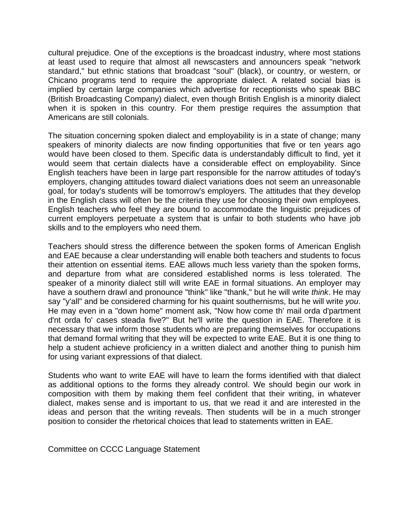cultural prejudice. One of the exceptions is the broadcast industry, where most stations at least used to require that almost all newscasters and announcers speak "network standard," but ethnic stations that broadcast "soul" (black), or country, or western, or Chicano programs tend to require the appropriate dialect. A related social bias is implied by certain large companies which advertise for receptionists who speak BBC (British Broadcasting Company) dialect, even though British English is a minority dialect when it is spoken in this country. For them prestige requires the assumption that Americans are still colonials.

The situation concerning spoken dialect and employability is in a state of change; many speakers of minority dialects are now finding opportunities that five or ten years ago would have been closed to them. Specific data is understandably difficult to find, yet it would seem that certain dialects have a considerable effect on employability. Since English teachers have been in large part responsible for the narrow attitudes of today's employers, changing attitudes toward dialect variations does not seem an unreasonable goal, for today's students will be tomorrow's employers. The attitudes that they develop in the English class will often be the criteria they use for choosing their own employees. English teachers who feel they are bound to accommodate the linguistic prejudices of current employers perpetuate a system that is unfair to both students who have job skills and to the employers who need them.

Teachers should stress the difference between the spoken forms of American English and EAE because a clear understanding will enable both teachers and students to focus their attention on essential items. EAE allows much less variety than the spoken forms, and departure from what are considered established norms is less tolerated. The speaker of a minority dialect still will write EAE in formal situations. An employer may have a southern drawl and pronounce "think" like "thank," but he will write *think*. He may say "y'all" and be considered charming for his quaint southernisms, but he will write *you*. He may even in a "down home" moment ask, "Now how come th' mail orda d'partment d'nt orda fo' cases steada five?" But he'll write the question in EAE. Therefore it is necessary that we inform those students who are preparing themselves for occupations that demand formal writing that they will be expected to write EAE. But it is one thing to help a student achieve proficiency in a written dialect and another thing to punish him for using variant expressions of that dialect.

Students who want to write EAE will have to learn the forms identified with that dialect as additional options to the forms they already control. We should begin our work in composition with them by making them feel confident that their writing, in whatever dialect, makes sense and is important to us, that we read it and are interested in the ideas and person that the writing reveals. Then students will be in a much stronger position to consider the rhetorical choices that lead to statements written in EAE.

Committee on CCCC Language Statement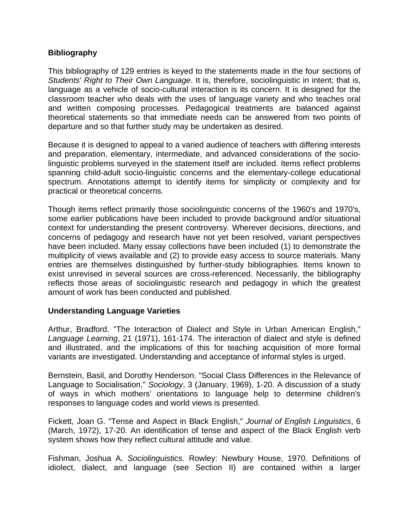#### **Bibliography**

This bibliography of 129 entries is keyed to the statements made in the four sections of *Students' Right to Their Own Language*. It is, therefore, sociolinguistic in intent; that is, language as a vehicle of socio-cultural interaction is its concern. It is designed for the classroom teacher who deals with the uses of language variety and who teaches oral and written composing processes. Pedagogical treatments are balanced against theoretical statements so that immediate needs can be answered from two points of departure and so that further study may be undertaken as desired.

Because it is designed to appeal to a varied audience of teachers with differing interests and preparation, elementary, intermediate, and advanced considerations of the sociolinguistic problems surveyed in the statement itself are included. Items reflect problems spanning child-adult socio-linguistic concerns and the elementary-college educational spectrum. Annotations attempt to identify items for simplicity or complexity and for practical or theoretical concerns.

Though items reflect primarily those sociolinguistic concerns of the 1960's and 1970's, some earlier publications have been included to provide background and/or situational context for understanding the present controversy. Wherever decisions, directions, and concerns of pedagogy and research have not yet been resolved, variant perspectives have been included. Many essay collections have been included (1) to demonstrate the multiplicity of views available and (2) to provide easy access to source materials. Many entries are themselves distinguished by further-study bibliographies. Items known to exist unrevised in several sources are cross-referenced. Necessarily, the bibliography reflects those areas of sociolinguistic research and pedagogy in which the greatest amount of work has been conducted and published.

## **Understanding Language Varieties**

Arthur, Bradford. "The Interaction of Dialect and Style in Urban American English," *Language Learning*, 21 (1971), 161-174. The interaction of dialect and style is defined and illustrated, and the implications of this for teaching acquisition of more formal variants are investigated. Understanding and acceptance of informal styles is urged.

Bernstein, Basil, and Dorothy Henderson. "Social Class Differences in the Relevance of Language to Socialisation," *Sociology*, 3 (January, 1969), 1-20. A discussion of a study of ways in which mothers' orientations to language help to determine children's responses to language codes and world views is presented.

Fickett, Joan G. "Tense and Aspect in Black English," *Journal of English Linguistics*, 6 (March, 1972), 17-20. An identification of tense and aspect of the Black English verb system shows how they reflect cultural attitude and value.

Fishman, Joshua A. *Sociolinguistics*. Rowley: Newbury House, 1970. Definitions of idiolect, dialect, and language (see Section II) are contained within a larger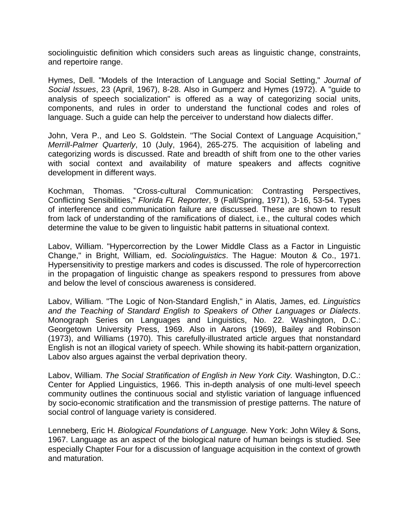sociolinguistic definition which considers such areas as linguistic change, constraints, and repertoire range.

Hymes, Dell. "Models of the Interaction of Language and Social Setting," *Journal of Social Issues*, 23 (April, 1967), 8-28. Also in Gumperz and Hymes (1972). A "guide to analysis of speech socialization" is offered as a way of categorizing social units, components, and rules in order to understand the functional codes and roles of language. Such a guide can help the perceiver to understand how dialects differ.

John, Vera P., and Leo S. Goldstein. "The Social Context of Language Acquisition," *Merrill-Palmer Quarterly*, 10 (July, 1964), 265-275. The acquisition of labeling and categorizing words is discussed. Rate and breadth of shift from one to the other varies with social context and availability of mature speakers and affects cognitive development in different ways.

Kochman, Thomas. "Cross-cultural Communication: Contrasting Perspectives, Conflicting Sensibilities," *Florida FL Reporter*, 9 (Fall/Spring, 1971), 3-16, 53-54. Types of interference and communication failure are discussed. These are shown to result from lack of understanding of the ramifications of dialect, i.e., the cultural codes which determine the value to be given to linguistic habit patterns in situational context.

Labov, William. "Hypercorrection by the Lower Middle Class as a Factor in Linguistic Change," in Bright, William, ed. *Sociolinguistics*. The Hague: Mouton & Co., 1971. Hypersensitivity to prestige markers and codes is discussed. The role of hypercorrection in the propagation of linguistic change as speakers respond to pressures from above and below the level of conscious awareness is considered.

Labov, William. "The Logic of Non-Standard English," in Alatis, James, ed. *Linguistics and the Teaching of Standard English to Speakers of Other Languages or Dialects*. Monograph Series on Languages and Linguistics, No. 22. Washington, D.C.: Georgetown University Press, 1969. Also in Aarons (1969), Bailey and Robinson (1973), and Williams (1970). This carefully-illustrated article argues that nonstandard English is not an illogical variety of speech. While showing its habit-pattern organization, Labov also argues against the verbal deprivation theory.

Labov, William. *The Social Stratification of English in New York City.* Washington, D.C.: Center for Applied Linguistics, 1966. This in-depth analysis of one multi-level speech community outlines the continuous social and stylistic variation of language influenced by socio-economic stratification and the transmission of prestige patterns. The nature of social control of language variety is considered.

Lenneberg, Eric H. *Biological Foundations of Language.* New York: John Wiley & Sons, 1967. Language as an aspect of the biological nature of human beings is studied. See especially Chapter Four for a discussion of language acquisition in the context of growth and maturation.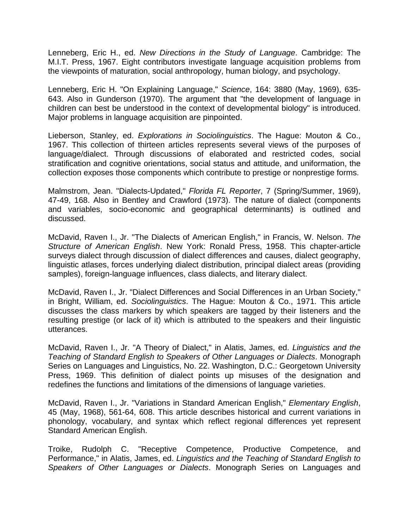Lenneberg, Eric H., ed. *New Directions in the Study of Language*. Cambridge: The M.I.T. Press, 1967. Eight contributors investigate language acquisition problems from the viewpoints of maturation, social anthropology, human biology, and psychology.

Lenneberg, Eric H. "On Explaining Language," *Science*, 164: 3880 (May, 1969), 635- 643. Also in Gunderson (1970). The argument that "the development of language in children can best be understood in the context of developmental biology" is introduced. Major problems in language acquisition are pinpointed.

Lieberson, Stanley, ed. *Explorations in Sociolinguistics*. The Hague: Mouton & Co., 1967. This collection of thirteen articles represents several views of the purposes of language/dialect. Through discussions of elaborated and restricted codes, social stratification and cognitive orientations, social status and attitude, and uniformation, the collection exposes those components which contribute to prestige or nonprestige forms.

Malmstrom, Jean. "Dialects-Updated," *Florida FL Reporter*, 7 (Spring/Summer, 1969), 47-49, 168. Also in Bentley and Crawford (1973). The nature of dialect (components and variables, socio-economic and geographical determinants) is outlined and discussed.

McDavid, Raven I., Jr. "The Dialects of American English," in Francis, W. Nelson. *The Structure of American English*. New York: Ronald Press, 1958. This chapter-article surveys dialect through discussion of dialect differences and causes, dialect geography, linguistic atlases, forces underlying dialect distribution, principal dialect areas (providing samples), foreign-language influences, class dialects, and literary dialect.

McDavid, Raven I., Jr. "Dialect Differences and Social Differences in an Urban Society," in Bright, William, ed. *Sociolinguistics*. The Hague: Mouton & Co., 1971. This article discusses the class markers by which speakers are tagged by their listeners and the resulting prestige (or lack of it) which is attributed to the speakers and their linguistic utterances.

McDavid, Raven I., Jr. "A Theory of Dialect," in Alatis, James, ed. *Linguistics and the Teaching of Standard English to Speakers of Other Languages or Dialects*. Monograph Series on Languages and Linguistics, No. 22. Washington, D.C.: Georgetown University Press, 1969. This definition of dialect points up misuses of the designation and redefines the functions and limitations of the dimensions of language varieties.

McDavid, Raven I., Jr. "Variations in Standard American English," *Elementary English*, 45 (May, 1968), 561-64, 608. This article describes historical and current variations in phonology, vocabulary, and syntax which reflect regional differences yet represent Standard American English.

Troike, Rudolph C. "Receptive Competence, Productive Competence, and Performance," in Alatis, James, ed. *Linguistics and the Teaching of Standard English to Speakers of Other Languages or Dialects*. Monograph Series on Languages and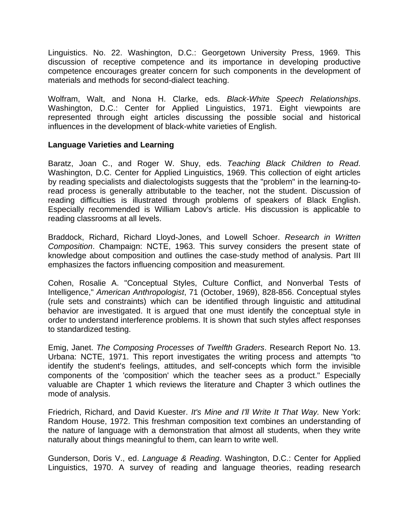Linguistics. No. 22. Washington, D.C.: Georgetown University Press, 1969. This discussion of receptive competence and its importance in developing productive competence encourages greater concern for such components in the development of materials and methods for second-dialect teaching.

Wolfram, Walt, and Nona H. Clarke, eds. *Black-White Speech Relationships*. Washington, D.C.: Center for Applied Linguistics, 1971. Eight viewpoints are represented through eight articles discussing the possible social and historical influences in the development of black-white varieties of English.

## **Language Varieties and Learning**

Baratz, Joan C., and Roger W. Shuy, eds. *Teaching Black Children to Read*. Washington, D.C. Center for Applied Linguistics, 1969. This collection of eight articles by reading specialists and dialectologists suggests that the "problem" in the learning-toread process is generally attributable to the teacher, not the student. Discussion of reading difficulties is illustrated through problems of speakers of Black English. Especially recommended is William Labov's article. His discussion is applicable to reading classrooms at all levels.

Braddock, Richard, Richard Lloyd-Jones, and Lowell Schoer. *Research in Written Composition*. Champaign: NCTE, 1963. This survey considers the present state of knowledge about composition and outlines the case-study method of analysis. Part III emphasizes the factors influencing composition and measurement.

Cohen, Rosalie A. "Conceptual Styles, Culture Conflict, and Nonverbal Tests of Intelligence," *American Anthropologist*, 71 (October, 1969), 828-856. Conceptual styles (rule sets and constraints) which can be identified through linguistic and attitudinal behavior are investigated. It is argued that one must identify the conceptual style in order to understand interference problems. It is shown that such styles affect responses to standardized testing.

Emig, Janet. *The Composing Processes of Twelfth Graders*. Research Report No. 13. Urbana: NCTE, 1971. This report investigates the writing process and attempts "to identify the student's feelings, attitudes, and self-concepts which form the invisible components of the 'composition' which the teacher sees as a product." Especially valuable are Chapter 1 which reviews the literature and Chapter 3 which outlines the mode of analysis.

Friedrich, Richard, and David Kuester. *It's Mine and I'll Write It That Way.* New York: Random House, 1972. This freshman composition text combines an understanding of the nature of language with a demonstration that almost all students, when they write naturally about things meaningful to them, can learn to write well.

Gunderson, Doris V., ed. *Language & Reading*. Washington, D.C.: Center for Applied Linguistics, 1970. A survey of reading and language theories, reading research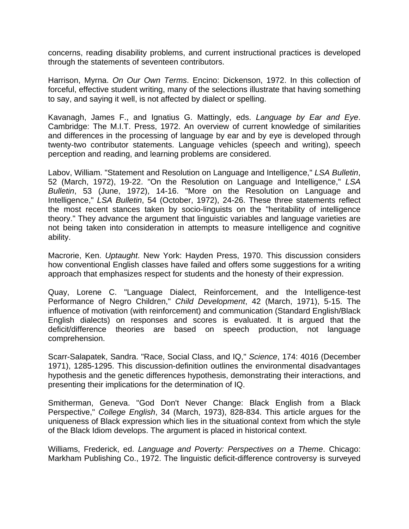concerns, reading disability problems, and current instructional practices is developed through the statements of seventeen contributors.

Harrison, Myrna. *On Our Own Terms*. Encino: Dickenson, 1972. In this collection of forceful, effective student writing, many of the selections illustrate that having something to say, and saying it well, is not affected by dialect or spelling.

Kavanagh, James F., and Ignatius G. Mattingly, eds. *Language by Ear and Eye*. Cambridge: The M.I.T. Press, 1972. An overview of current knowledge of similarities and differences in the processing of language by ear and by eye is developed through twenty-two contributor statements. Language vehicles (speech and writing), speech perception and reading, and learning problems are considered.

Labov, William. "Statement and Resolution on Language and Intelligence," *LSA Bulletin*, 52 (March, 1972), 19-22. "On the Resolution on Language and Intelligence," *LSA Bulletin*, 53 (June, 1972), 14-16. "More on the Resolution on Language and Intelligence," *LSA Bulletin*, 54 (October, 1972), 24-26. These three statements reflect the most recent stances taken by socio-linguists on the "heritability of intelligence theory." They advance the argument that linguistic variables and language varieties are not being taken into consideration in attempts to measure intelligence and cognitive ability.

Macrorie, Ken. *Uptaught*. New York: Hayden Press, 1970. This discussion considers how conventional English classes have failed and offers some suggestions for a writing approach that emphasizes respect for students and the honesty of their expression.

Quay, Lorene C. "Language Dialect, Reinforcement, and the Intelligence-test Performance of Negro Children," *Child Development*, 42 (March, 1971), 5-15. The influence of motivation (with reinforcement) and communication (Standard English/Black English dialects) on responses and scores is evaluated. It is argued that the deficit/difference theories are based on speech production, not language comprehension.

Scarr-Salapatek, Sandra. "Race, Social Class, and IQ," *Science*, 174: 4016 (December 1971), 1285-1295. This discussion-definition outlines the environmental disadvantages hypothesis and the genetic differences hypothesis, demonstrating their interactions, and presenting their implications for the determination of IQ.

Smitherman, Geneva. "God Don't Never Change: Black English from a Black Perspective," *College English*, 34 (March, 1973), 828-834. This article argues for the uniqueness of Black expression which lies in the situational context from which the style of the Black Idiom develops. The argument is placed in historical context.

Williams, Frederick, ed. *Language and Poverty: Perspectives on a Theme*. Chicago: Markham Publishing Co., 1972. The linguistic deficit-difference controversy is surveyed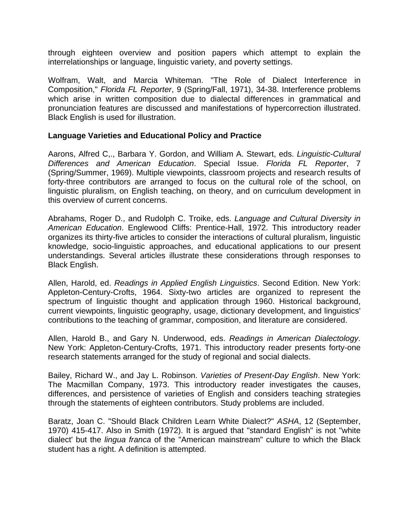through eighteen overview and position papers which attempt to explain the interrelationships or language, linguistic variety, and poverty settings.

Wolfram, Walt, and Marcia Whiteman. "The Role of Dialect Interference in Composition," *Florida FL Reporter*, 9 (Spring/Fall, 1971), 34-38. Interference problems which arise in written composition due to dialectal differences in grammatical and pronunciation features are discussed and manifestations of hypercorrection illustrated. Black English is used for illustration.

#### **Language Varieties and Educational Policy and Practice**

Aarons, Alfred C,., Barbara Y. Gordon, and William A. Stewart, eds. *Linguistic-Cultural Differences and American Education*. Special Issue. *Florida FL Reporter*, 7 (Spring/Summer, 1969). Multiple viewpoints, classroom projects and research results of forty-three contributors are arranged to focus on the cultural role of the school, on linguistic pluralism, on English teaching, on theory, and on curriculum development in this overview of current concerns.

Abrahams, Roger D., and Rudolph C. Troike, eds. *Language and Cultural Diversity in American Education*. Englewood Cliffs: Prentice-Hall, 1972. This introductory reader organizes its thirty-five articles to consider the interactions of cultural pluralism, linguistic knowledge, socio-linguistic approaches, and educational applications to our present understandings. Several articles illustrate these considerations through responses to Black English.

Allen, Harold, ed. *Readings in Applied English Linguistics*. Second Edition. New York: Appleton-Century-Crofts, 1964. Sixty-two articles are organized to represent the spectrum of linguistic thought and application through 1960. Historical background, current viewpoints, linguistic geography, usage, dictionary development, and linguistics' contributions to the teaching of grammar, composition, and literature are considered.

Allen, Harold B., and Gary N. Underwood, eds. *Readings in American Dialectology*. New York: Appleton-Century-Crofts, 1971. This introductory reader presents forty-one research statements arranged for the study of regional and social dialects.

Bailey, Richard W., and Jay L. Robinson. *Varieties of Present-Day English*. New York: The Macmillan Company, 1973. This introductory reader investigates the causes, differences, and persistence of varieties of English and considers teaching strategies through the statements of eighteen contributors. Study problems are included.

Baratz, Joan C. "Should Black Children Learn White Dialect?" *ASHA*, 12 (September, 1970) 415-417. Also in Smith (1972). It is argued that "standard English" is not "white dialect' but the *lingua franca* of the "American mainstream" culture to which the Black student has a right. A definition is attempted.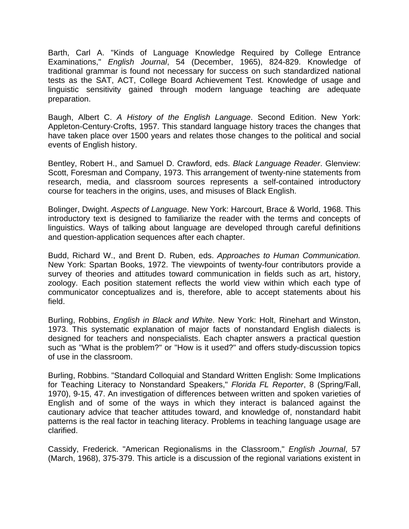Barth, Carl A. "Kinds of Language Knowledge Required by College Entrance Examinations," *English Journal*, 54 (December, 1965), 824-829. Knowledge of traditional grammar is found not necessary for success on such standardized national tests as the SAT, ACT, College Board Achievement Test. Knowledge of usage and linguistic sensitivity gained through modern language teaching are adequate preparation.

Baugh, Albert C. *A History of the English Language*. Second Edition. New York: Appleton-Century-Crofts, 1957. This standard language history traces the changes that have taken place over 1500 years and relates those changes to the political and social events of English history.

Bentley, Robert H., and Samuel D. Crawford, eds. *Black Language Reader*. Glenview: Scott, Foresman and Company, 1973. This arrangement of twenty-nine statements from research, media, and classroom sources represents a self-contained introductory course for teachers in the origins, uses, and misuses of Black English.

Bolinger, Dwight. *Aspects of Language*. New York: Harcourt, Brace & World, 1968. This introductory text is designed to familiarize the reader with the terms and concepts of linguistics. Ways of talking about language are developed through careful definitions and question-application sequences after each chapter.

Budd, Richard W., and Brent D. Ruben, eds. *Approaches to Human Communication.* New York: Spartan Books, 1972. The viewpoints of twenty-four contributors provide a survey of theories and attitudes toward communication in fields such as art, history, zoology. Each position statement reflects the world view within which each type of communicator conceptualizes and is, therefore, able to accept statements about his field.

Burling, Robbins, *English in Black and White*. New York: Holt, Rinehart and Winston, 1973. This systematic explanation of major facts of nonstandard English dialects is designed for teachers and nonspecialists. Each chapter answers a practical question such as "What is the problem?" or "How is it used?" and offers study-discussion topics of use in the classroom.

Burling, Robbins. "Standard Colloquial and Standard Written English: Some Implications for Teaching Literacy to Nonstandard Speakers," *Florida FL Reporter*, 8 (Spring/Fall, 1970), 9-15, 47. An investigation of differences between written and spoken varieties of English and of some of the ways in which they interact is balanced against the cautionary advice that teacher attitudes toward, and knowledge of, nonstandard habit patterns is the real factor in teaching literacy. Problems in teaching language usage are clarified.

Cassidy, Frederick. "American Regionalisms in the Classroom," *English Journal*, 57 (March, 1968), 375-379. This article is a discussion of the regional variations existent in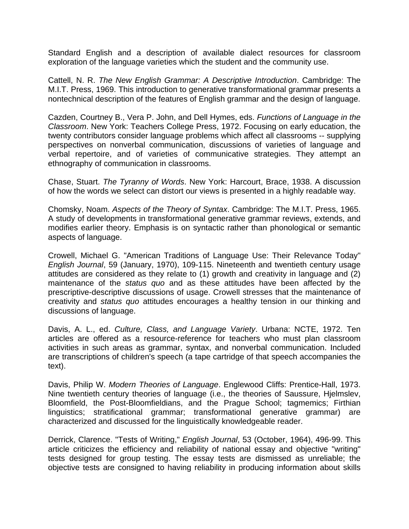Standard English and a description of available dialect resources for classroom exploration of the language varieties which the student and the community use.

Cattell, N. R. *The New English Grammar: A Descriptive Introduction*. Cambridge: The M.I.T. Press, 1969. This introduction to generative transformational grammar presents a nontechnical description of the features of English grammar and the design of language.

Cazden, Courtney B., Vera P. John, and Dell Hymes, eds. *Functions of Language in the Classroom*. New York: Teachers College Press, 1972. Focusing on early education, the twenty contributors consider language problems which affect all classrooms -- supplying perspectives on nonverbal communication, discussions of varieties of language and verbal repertoire, and of varieties of communicative strategies. They attempt an ethnography of communication in classrooms.

Chase, Stuart. *The Tyranny of Words*. New York: Harcourt, Brace, 1938. A discussion of how the words we select can distort our views is presented in a highly readable way.

Chomsky, Noam. *Aspects of the Theory of Syntax*. Cambridge: The M.I.T. Press, 1965. A study of developments in transformational generative grammar reviews, extends, and modifies earlier theory. Emphasis is on syntactic rather than phonological or semantic aspects of language.

Crowell, Michael G. "American Traditions of Language Use: Their Relevance Today" *English Journal*, 59 (January, 1970), 109-115. Nineteenth and twentieth century usage attitudes are considered as they relate to (1) growth and creativity in language and (2) maintenance of the *status quo* and as these attitudes have been affected by the prescriptive-descriptive discussions of usage. Crowell stresses that the maintenance of creativity and *status quo* attitudes encourages a healthy tension in our thinking and discussions of language.

Davis, A. L., ed. *Culture, Class, and Language Variety*. Urbana: NCTE, 1972. Ten articles are offered as a resource-reference for teachers who must plan classroom activities in such areas as grammar, syntax, and nonverbal communication. Included are transcriptions of children's speech (a tape cartridge of that speech accompanies the text).

Davis, Philip W. *Modern Theories of Language*. Englewood Cliffs: Prentice-Hall, 1973. Nine twentieth century theories of language (i.e., the theories of Saussure, Hjelmslev, Bloomfield, the Post-Bloomfieldians, and the Prague School; tagmemics; Firthian linguistics; stratificational grammar; transformational generative grammar) are characterized and discussed for the linguistically knowledgeable reader.

Derrick, Clarence. "Tests of Writing," *English Journal*, 53 (October, 1964), 496-99. This article criticizes the efficiency and reliability of national essay and objective "writing" tests designed for group testing. The essay tests are dismissed as unreliable; the objective tests are consigned to having reliability in producing information about skills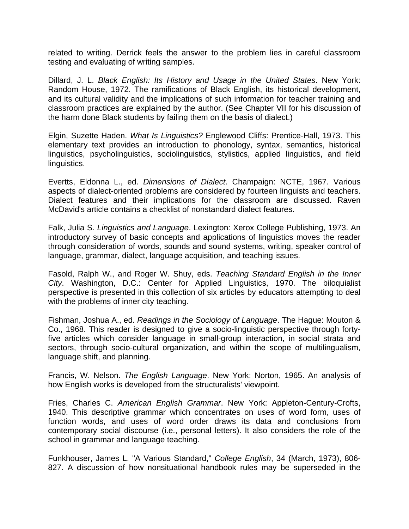related to writing. Derrick feels the answer to the problem lies in careful classroom testing and evaluating of writing samples.

Dillard, J. L. *Black English: Its History and Usage in the United States*. New York: Random House, 1972. The ramifications of Black English, its historical development, and its cultural validity and the implications of such information for teacher training and classroom practices are explained by the author. (See Chapter VII for his discussion of the harm done Black students by failing them on the basis of dialect.)

Elgin, Suzette Haden. *What Is Linguistics?* Englewood Cliffs: Prentice-Hall, 1973. This elementary text provides an introduction to phonology, syntax, semantics, historical linguistics, psycholinguistics, sociolinguistics, stylistics, applied linguistics, and field linguistics.

Evertts, Eldonna L., ed. *Dimensions of Dialect*. Champaign: NCTE, 1967. Various aspects of dialect-oriented problems are considered by fourteen linguists and teachers. Dialect features and their implications for the classroom are discussed. Raven McDavid's article contains a checklist of nonstandard dialect features.

Falk, Julia S. *Linguistics and Language*. Lexington: Xerox College Publishing, 1973. An introductory survey of basic concepts and applications of linguistics moves the reader through consideration of words, sounds and sound systems, writing, speaker control of language, grammar, dialect, language acquisition, and teaching issues.

Fasold, Ralph W., and Roger W. Shuy, eds. *Teaching Standard English in the Inner City*. Washington, D.C.: Center for Applied Linguistics, 1970. The biloquialist perspective is presented in this collection of six articles by educators attempting to deal with the problems of inner city teaching.

Fishman, Joshua A., ed. *Readings in the Sociology of Language*. The Hague: Mouton & Co., 1968. This reader is designed to give a socio-linguistic perspective through fortyfive articles which consider language in small-group interaction, in social strata and sectors, through socio-cultural organization, and within the scope of multilingualism, language shift, and planning.

Francis, W. Nelson. *The English Language*. New York: Norton, 1965. An analysis of how English works is developed from the structuralists' viewpoint.

Fries, Charles C. *American English Grammar*. New York: Appleton-Century-Crofts, 1940. This descriptive grammar which concentrates on uses of word form, uses of function words, and uses of word order draws its data and conclusions from contemporary social discourse (i.e., personal letters). It also considers the role of the school in grammar and language teaching.

Funkhouser, James L. "A Various Standard," *College English*, 34 (March, 1973), 806- 827. A discussion of how nonsituational handbook rules may be superseded in the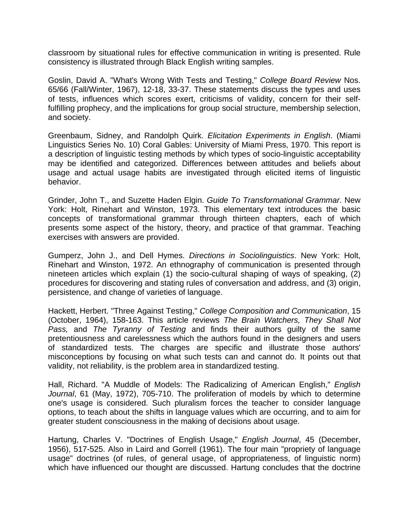classroom by situational rules for effective communication in writing is presented. Rule consistency is illustrated through Black English writing samples.

Goslin, David A. "What's Wrong With Tests and Testing," *College Board Review* Nos. 65/66 (Fall/Winter, 1967), 12-18, 33-37. These statements discuss the types and uses of tests, influences which scores exert, criticisms of validity, concern for their selffulfilling prophecy, and the implications for group social structure, membership selection, and society.

Greenbaum, Sidney, and Randolph Quirk. *Elicitation Experiments in English*. (Miami Linguistics Series No. 10) Coral Gables: University of Miami Press, 1970. This report is a description of linguistic testing methods by which types of socio-linguistic acceptability may be identified and categorized. Differences between attitudes and beliefs about usage and actual usage habits are investigated through elicited items of linguistic behavior.

Grinder, John T., and Suzette Haden Elgin. *Guide To Transformational Grammar*. New York: Holt, Rinehart and Winston, 1973. This elementary text introduces the basic concepts of transformational grammar through thirteen chapters, each of which presents some aspect of the history, theory, and practice of that grammar. Teaching exercises with answers are provided.

Gumperz, John J., and Dell Hymes. *Directions in Sociolinguistics*. New York: Holt, Rinehart and Winston, 1972. An ethnography of communication is presented through nineteen articles which explain (1) the socio-cultural shaping of ways of speaking, (2) procedures for discovering and stating rules of conversation and address, and (3) origin, persistence, and change of varieties of language.

Hackett, Herbert. "Three Against Testing," *College Composition and Communication*, 15 (October, 1964), 158-163. This article reviews *The Brain Watchers, They Shall Not Pass,* and *The Tyranny of Testing* and finds their authors guilty of the same pretentiousness and carelessness which the authors found in the designers and users of standardized tests. The charges are specific and illustrate those authors' misconceptions by focusing on what such tests can and cannot do. It points out that validity, not reliability, is the problem area in standardized testing.

Hall, Richard. "A Muddle of Models: The Radicalizing of American English," *English Journal*, 61 (May, 1972), 705-710. The proliferation of models by which to determine one's usage is considered. Such pluralism forces the teacher to consider language options, to teach about the shifts in language values which are occurring, and to aim for greater student consciousness in the making of decisions about usage.

Hartung, Charles V. "Doctrines of English Usage," *English Journal*, 45 (December, 1956), 517-525. Also in Laird and Gorrell (1961). The four main "propriety of language usage" doctrines (of rules, of general usage, of appropriateness, of linguistic norm) which have influenced our thought are discussed. Hartung concludes that the doctrine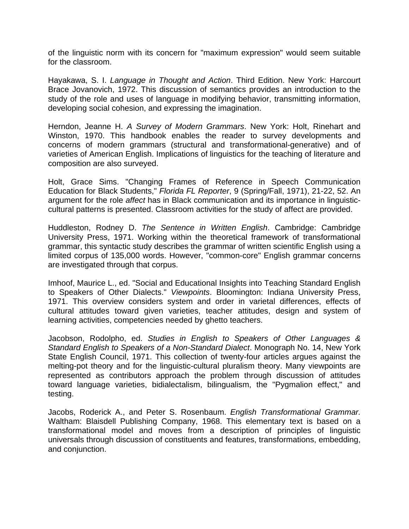of the linguistic norm with its concern for "maximum expression" would seem suitable for the classroom.

Hayakawa, S. I. *Language in Thought and Action*. Third Edition. New York: Harcourt Brace Jovanovich, 1972. This discussion of semantics provides an introduction to the study of the role and uses of language in modifying behavior, transmitting information, developing social cohesion, and expressing the imagination.

Herndon, Jeanne H. *A Survey of Modern Grammars*. New York: Holt, Rinehart and Winston, 1970. This handbook enables the reader to survey developments and concerns of modern grammars (structural and transformational-generative) and of varieties of American English. Implications of linguistics for the teaching of literature and composition are also surveyed.

Holt, Grace Sims. "Changing Frames of Reference in Speech Communication Education for Black Students," *Florida FL Reporter*, 9 (Spring/Fall, 1971), 21-22, 52. An argument for the role *affect* has in Black communication and its importance in linguisticcultural patterns is presented. Classroom activities for the study of affect are provided.

Huddleston, Rodney D. *The Sentence in Written English*. Cambridge: Cambridge University Press, 1971. Working within the theoretical framework of transformational grammar, this syntactic study describes the grammar of written scientific English using a limited corpus of 135,000 words. However, "common-core" English grammar concerns are investigated through that corpus.

Imhoof, Maurice L., ed. "Social and Educational Insights into Teaching Standard English to Speakers of Other Dialects." *Viewpoints*. Bloomington: Indiana University Press, 1971. This overview considers system and order in varietal differences, effects of cultural attitudes toward given varieties, teacher attitudes, design and system of learning activities, competencies needed by ghetto teachers.

Jacobson, Rodolpho, ed. *Studies in English to Speakers of Other Languages & Standard English to Speakers of a Non-Standard Dialect*. Monograph No. 14, New York State English Council, 1971. This collection of twenty-four articles argues against the melting-pot theory and for the linguistic-cultural pluralism theory. Many viewpoints are represented as contributors approach the problem through discussion of attitudes toward language varieties, bidialectalism, bilingualism, the "Pygmalion effect," and testing.

Jacobs, Roderick A., and Peter S. Rosenbaum. *English Transformational Grammar.* Waltham: Blaisdell Publishing Company, 1968. This elementary text is based on a transformational model and moves from a description of principles of linguistic universals through discussion of constituents and features, transformations, embedding, and conjunction.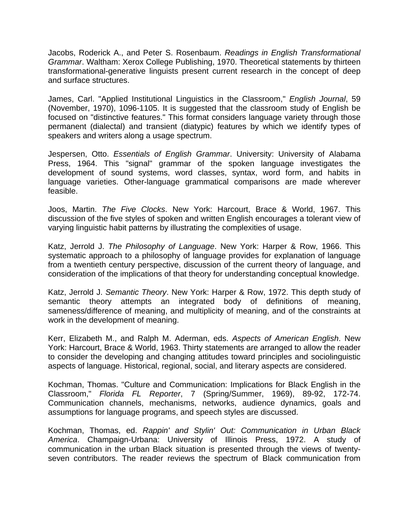Jacobs, Roderick A., and Peter S. Rosenbaum. *Readings in English Transformational Grammar*. Waltham: Xerox College Publishing, 1970. Theoretical statements by thirteen transformational-generative linguists present current research in the concept of deep and surface structures.

James, Carl. "Applied Institutional Linguistics in the Classroom," *English Journal*, 59 (November, 1970), 1096-1105. It is suggested that the classroom study of English be focused on "distinctive features." This format considers language variety through those permanent (dialectal) and transient (diatypic) features by which we identify types of speakers and writers along a usage spectrum.

Jespersen, Otto. *Essentials of English Grammar*. University: University of Alabama Press, 1964. This "signal" grammar of the spoken language investigates the development of sound systems, word classes, syntax, word form, and habits in language varieties. Other-language grammatical comparisons are made wherever feasible.

Joos, Martin. *The Five Clocks*. New York: Harcourt, Brace & World, 1967. This discussion of the five styles of spoken and written English encourages a tolerant view of varying linguistic habit patterns by illustrating the complexities of usage.

Katz, Jerrold J. *The Philosophy of Language*. New York: Harper & Row, 1966. This systematic approach to a philosophy of language provides for explanation of language from a twentieth century perspective, discussion of the current theory of language, and consideration of the implications of that theory for understanding conceptual knowledge.

Katz, Jerrold J. *Semantic Theory*. New York: Harper & Row, 1972. This depth study of semantic theory attempts an integrated body of definitions of meaning, sameness/difference of meaning, and multiplicity of meaning, and of the constraints at work in the development of meaning.

Kerr, Elizabeth M., and Ralph M. Aderman, eds. *Aspects of American English*. New York: Harcourt, Brace & World, 1963. Thirty statements are arranged to allow the reader to consider the developing and changing attitudes toward principles and sociolinguistic aspects of language. Historical, regional, social, and literary aspects are considered.

Kochman, Thomas. "Culture and Communication: Implications for Black English in the Classroom," *Florida FL Reporter*, 7 (Spring/Summer, 1969), 89-92, 172-74. Communication channels, mechanisms, networks, audience dynamics, goals and assumptions for language programs, and speech styles are discussed.

Kochman, Thomas, ed. *Rappin' and Stylin' Out: Communication in Urban Black America*. Champaign-Urbana: University of Illinois Press, 1972. A study of communication in the urban Black situation is presented through the views of twentyseven contributors. The reader reviews the spectrum of Black communication from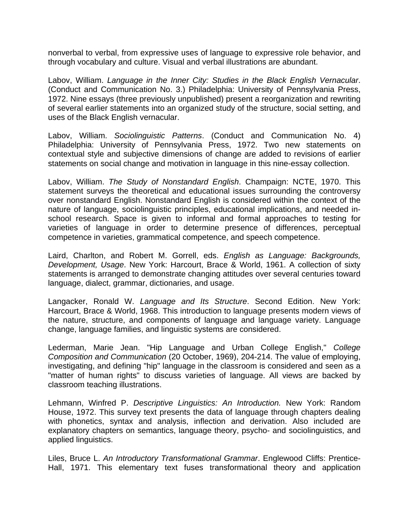nonverbal to verbal, from expressive uses of language to expressive role behavior, and through vocabulary and culture. Visual and verbal illustrations are abundant.

Labov, William. *Language in the Inner City: Studies in the Black English Vernacular*. (Conduct and Communication No. 3.) Philadelphia: University of Pennsylvania Press, 1972. Nine essays (three previously unpublished) present a reorganization and rewriting of several earlier statements into an organized study of the structure, social setting, and uses of the Black English vernacular.

Labov, William. *Sociolinguistic Patterns*. (Conduct and Communication No. 4) Philadelphia: University of Pennsylvania Press, 1972. Two new statements on contextual style and subjective dimensions of change are added to revisions of earlier statements on social change and motivation in language in this nine-essay collection.

Labov, William. *The Study of Nonstandard English*. Champaign: NCTE, 1970. This statement surveys the theoretical and educational issues surrounding the controversy over nonstandard English. Nonstandard English is considered within the context of the nature of language, sociolinguistic principles, educational implications, and needed inschool research. Space is given to informal and formal approaches to testing for varieties of language in order to determine presence of differences, perceptual competence in varieties, grammatical competence, and speech competence.

Laird, Charlton, and Robert M. Gorrell, eds. *English as Language: Backgrounds, Development, Usage*. New York: Harcourt, Brace & World, 1961. A collection of sixty statements is arranged to demonstrate changing attitudes over several centuries toward language, dialect, grammar, dictionaries, and usage.

Langacker, Ronald W. *Language and Its Structure*. Second Edition. New York: Harcourt, Brace & World, 1968. This introduction to language presents modern views of the nature, structure, and components of language and language variety. Language change, language families, and linguistic systems are considered.

Lederman, Marie Jean. "Hip Language and Urban College English," *College Composition and Communication* (20 October, 1969), 204-214. The value of employing, investigating, and defining "hip" language in the classroom is considered and seen as a "matter of human rights" to discuss varieties of language. All views are backed by classroom teaching illustrations.

Lehmann, Winfred P. *Descriptive Linguistics: An Introduction.* New York: Random House, 1972. This survey text presents the data of language through chapters dealing with phonetics, syntax and analysis, inflection and derivation. Also included are explanatory chapters on semantics, language theory, psycho- and sociolinguistics, and applied linguistics.

Liles, Bruce L. *An Introductory Transformational Grammar*. Englewood Cliffs: Prentice-Hall, 1971. This elementary text fuses transformational theory and application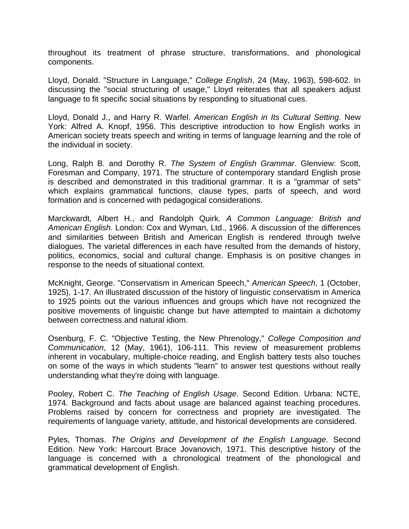throughout its treatment of phrase structure, transformations, and phonological components.

Lloyd, Donald. "Structure in Language," *College English*, 24 (May, 1963), 598-602. In discussing the "social structuring of usage," Lloyd reiterates that all speakers adjust language to fit specific social situations by responding to situational cues.

Lloyd, Donald J., and Harry R. Warfel. *American English in Its Cultural Setting*. New York: Alfred A. Knopf, 1956. This descriptive introduction to how English works in American society treats speech and writing in terms of language learning and the role of the individual in society.

Long, Ralph B. and Dorothy R. *The System of English Grammar*. Glenview: Scott, Foresman and Company, 1971. The structure of contemporary standard English prose is described and demonstrated in this traditional grammar. It is a "grammar of sets" which explains grammatical functions, clause types, parts of speech, and word formation and is concerned with pedagogical considerations.

Marckwardt, Albert H., and Randolph Quirk. *A Common Language: British and American English*. London: Cox and Wyman, Ltd., 1966. A discussion of the differences and similarities between British and American English is rendered through twelve dialogues. The varietal differences in each have resulted from the demands of history, politics, economics, social and cultural change. Emphasis is on positive changes in response to the needs of situational context.

McKnight, George. "Conservatism in American Speech," *American Speech*, 1 (October, 1925), 1-17. An illustrated discussion of the history of linguistic conservatism in America to 1925 points out the various influences and groups which have not recognized the positive movements of linguistic change but have attempted to maintain a dichotomy between correctness and natural idiom.

Osenburg, F. C. "Objective Testing, the New Phrenology," *College Composition and Communication*, 12 (May, 1961), 106-111. This review of measurement problems inherent in vocabulary, multiple-choice reading, and English battery tests also touches on some of the ways in which students "learn" to answer test questions without really understanding what they're doing with language.

Pooley, Robert C. *The Teaching of English Usage*. Second Edition. Urbana: NCTE, 1974. Background and facts about usage are balanced against teaching procedures. Problems raised by concern for correctness and propriety are investigated. The requirements of language variety, attitude, and historical developments are considered.

Pyles, Thomas. *The Origins and Development of the English Language*. Second Edition. New York: Harcourt Brace Jovanovich, 1971. This descriptive history of the language is concerned with a chronological treatment of the phonological and grammatical development of English.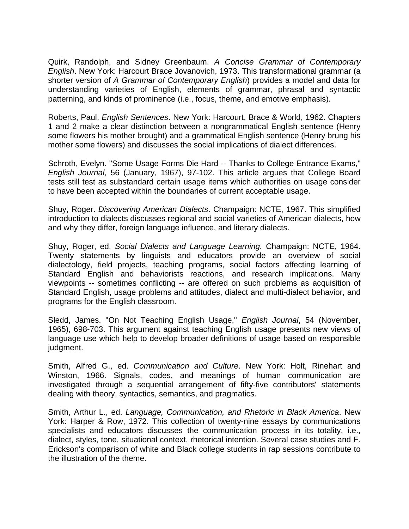Quirk, Randolph, and Sidney Greenbaum. *A Concise Grammar of Contemporary English*. New York: Harcourt Brace Jovanovich, 1973. This transformational grammar (a shorter version of *A Grammar of Contemporary English*) provides a model and data for understanding varieties of English, elements of grammar, phrasal and syntactic patterning, and kinds of prominence (i.e., focus, theme, and emotive emphasis).

Roberts, Paul. *English Sentences*. New York: Harcourt, Brace & World, 1962. Chapters 1 and 2 make a clear distinction between a nongrammatical English sentence (Henry some flowers his mother brought) and a grammatical English sentence (Henry brung his mother some flowers) and discusses the social implications of dialect differences.

Schroth, Evelyn. "Some Usage Forms Die Hard -- Thanks to College Entrance Exams," *English Journal*, 56 (January, 1967), 97-102. This article argues that College Board tests still test as substandard certain usage items which authorities on usage consider to have been accepted within the boundaries of current acceptable usage.

Shuy, Roger. *Discovering American Dialects*. Champaign: NCTE, 1967. This simplified introduction to dialects discusses regional and social varieties of American dialects, how and why they differ, foreign language influence, and literary dialects.

Shuy, Roger, ed. *Social Dialects and Language Learning.* Champaign: NCTE, 1964. Twenty statements by linguists and educators provide an overview of social dialectology, field projects, teaching programs, social factors affecting learning of Standard English and behaviorists reactions, and research implications. Many viewpoints -- sometimes conflicting -- are offered on such problems as acquisition of Standard English, usage problems and attitudes, dialect and multi-dialect behavior, and programs for the English classroom.

Sledd, James. "On Not Teaching English Usage," *English Journal*, 54 (November, 1965), 698-703. This argument against teaching English usage presents new views of language use which help to develop broader definitions of usage based on responsible judgment.

Smith, Alfred G., ed. *Communication and Culture*. New York: Holt, Rinehart and Winston, 1966. Signals, codes, and meanings of human communication are investigated through a sequential arrangement of fifty-five contributors' statements dealing with theory, syntactics, semantics, and pragmatics.

Smith, Arthur L., ed. *Language, Communication, and Rhetoric in Black America*. New York: Harper & Row, 1972. This collection of twenty-nine essays by communications specialists and educators discusses the communication process in its totality, i.e., dialect, styles, tone, situational context, rhetorical intention. Several case studies and F. Erickson's comparison of white and Black college students in rap sessions contribute to the illustration of the theme.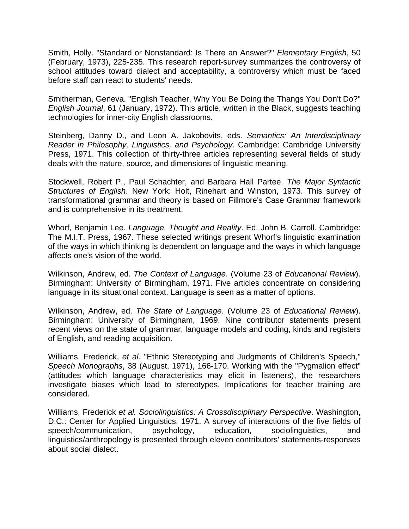Smith, Holly. "Standard or Nonstandard: Is There an Answer?" *Elementary English*, 50 (February, 1973), 225-235. This research report-survey summarizes the controversy of school attitudes toward dialect and acceptability, a controversy which must be faced before staff can react to students' needs.

Smitherman, Geneva. "English Teacher, Why You Be Doing the Thangs You Don't Do?" *English Journal*, 61 (January, 1972). This article, written in the Black, suggests teaching technologies for inner-city English classrooms.

Steinberg, Danny D., and Leon A. Jakobovits, eds. *Semantics: An Interdisciplinary Reader in Philosophy, Linguistics, and Psychology*. Cambridge: Cambridge University Press, 1971. This collection of thirty-three articles representing several fields of study deals with the nature, source, and dimensions of linguistic meaning.

Stockwell, Robert P., Paul Schachter, and Barbara Hall Partee. *The Major Syntactic Structures of English*. New York: Holt, Rinehart and Winston, 1973. This survey of transformational grammar and theory is based on Fillmore's Case Grammar framework and is comprehensive in its treatment.

Whorf, Benjamin Lee. *Language, Thought and Reality*. Ed. John B. Carroll. Cambridge: The M.I.T. Press, 1967. These selected writings present Whorf's linguistic examination of the ways in which thinking is dependent on language and the ways in which language affects one's vision of the world.

Wilkinson, Andrew, ed. *The Context of Language*. (Volume 23 of *Educational Review*). Birmingham: University of Birmingham, 1971. Five articles concentrate on considering language in its situational context. Language is seen as a matter of options.

Wilkinson, Andrew, ed. *The State of Language*. (Volume 23 of *Educational Review*). Birmingham: University of Birmingham, 1969. Nine contributor statements present recent views on the state of grammar, language models and coding, kinds and registers of English, and reading acquisition.

Williams, Frederick, *et al.* "Ethnic Stereotyping and Judgments of Children's Speech," *Speech Monographs*, 38 (August, 1971), 166-170. Working with the "Pygmalion effect" (attitudes which language characteristics may elicit in listeners), the researchers investigate biases which lead to stereotypes. Implications for teacher training are considered.

Williams, Frederick *et al. Sociolinguistics: A Crossdisciplinary Perspective*. Washington, D.C.: Center for Applied Linguistics, 1971. A survey of interactions of the five fields of speech/communication, psychology, education, sociolinguistics, and linguistics/anthropology is presented through eleven contributors' statements-responses about social dialect.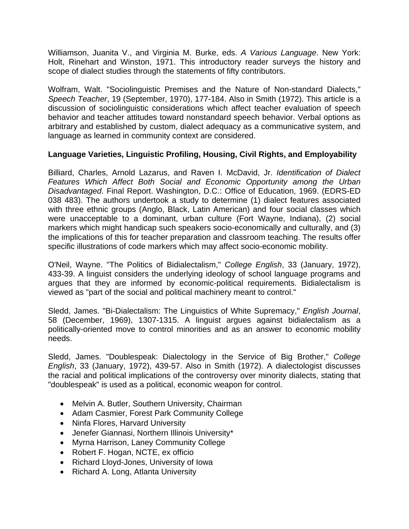Williamson, Juanita V., and Virginia M. Burke, eds. *A Various Language*. New York: Holt, Rinehart and Winston, 1971. This introductory reader surveys the history and scope of dialect studies through the statements of fifty contributors.

Wolfram, Walt. "Sociolinguistic Premises and the Nature of Non-standard Dialects," *Speech Teacher*, 19 (September, 1970), 177-184. Also in Smith (1972). This article is a discussion of sociolinguistic considerations which affect teacher evaluation of speech behavior and teacher attitudes toward nonstandard speech behavior. Verbal options as arbitrary and established by custom, dialect adequacy as a communicative system, and language as learned in community context are considered.

## **Language Varieties, Linguistic Profiling, Housing, Civil Rights, and Employability**

Billiard, Charles, Arnold Lazarus, and Raven I. McDavid, Jr. *Identification of Dialect Features Which Affect Both Social and Economic Opportunity among the Urban Disadvantaged*. Final Report. Washington, D.C.: Office of Education, 1969. (EDRS-ED 038 483). The authors undertook a study to determine (1) dialect features associated with three ethnic groups (Anglo, Black, Latin American) and four social classes which were unacceptable to a dominant, urban culture (Fort Wayne, Indiana), (2) social markers which might handicap such speakers socio-economically and culturally, and (3) the implications of this for teacher preparation and classroom teaching. The results offer specific illustrations of code markers which may affect socio-economic mobility.

O'Neil, Wayne. "The Politics of Bidialectalism," *College English*, 33 (January, 1972), 433-39. A linguist considers the underlying ideology of school language programs and argues that they are informed by economic-political requirements. Bidialectalism is viewed as "part of the social and political machinery meant to control."

Sledd, James. "Bi-Dialectalism: The Linguistics of White Supremacy," *English Journal*, 58 (December, 1969), 1307-1315. A linguist argues against bidialectalism as a politically-oriented move to control minorities and as an answer to economic mobility needs.

Sledd, James. "Doublespeak: Dialectology in the Service of Big Brother," *College English*, 33 (January, 1972), 439-57. Also in Smith (1972). A dialectologist discusses the racial and political implications of the controversy over minority dialects, stating that "doublespeak" is used as a political, economic weapon for control.

- Melvin A. Butler, Southern University, Chairman
- Adam Casmier, Forest Park Community College
- Ninfa Flores, Harvard University
- Jenefer Giannasi, Northern Illinois University\*
- Myrna Harrison, Laney Community College
- Robert F. Hogan, NCTE, ex officio
- Richard Lloyd-Jones, University of Iowa
- Richard A. Long, Atlanta University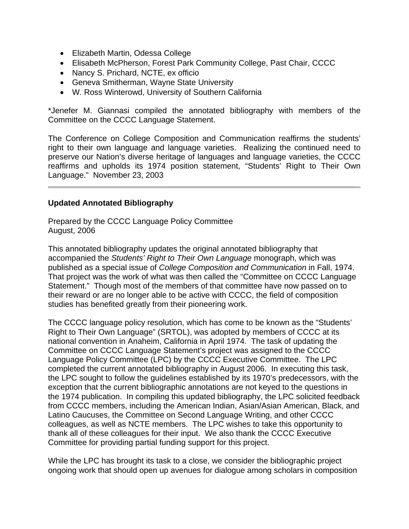- Elizabeth Martin, Odessa College
- Elisabeth McPherson, Forest Park Community College, Past Chair, CCCC
- Nancy S. Prichard, NCTE, ex officio
- Geneva Smitherman, Wayne State University
- W. Ross Winterowd, University of Southern California

\*Jenefer M. Giannasi compiled the annotated bibliography with members of the Committee on the CCCC Language Statement.

The Conference on College Composition and Communication reaffirms the students' right to their own language and language varieties. Realizing the continued need to preserve our Nation's diverse heritage of languages and language varieties, the CCCC reaffirms and upholds its 1974 position statement, "Students' Right to Their Own Language." November 23, 2003

## **Updated Annotated Bibliography**

Prepared by the CCCC Language Policy Committee August, 2006

This annotated bibliography updates the original annotated bibliography that accompanied the *Students' Right to Their Own Language* monograph, which was published as a special issue of *College Composition and Communication* in Fall, 1974. That project was the work of what was then called the "Committee on CCCC Language Statement." Though most of the members of that committee have now passed on to their reward or are no longer able to be active with CCCC, the field of composition studies has benefited greatly from their pioneering work.

The CCCC language policy resolution, which has come to be known as the "Students' Right to Their Own Language" (SRTOL), was adopted by members of CCCC at its national convention in Anaheim, California in April 1974. The task of updating the Committee on CCCC Language Statement's project was assigned to the CCCC Language Policy Committee (LPC) by the CCCC Executive Committee. The LPC completed the current annotated bibliography in August 2006. In executing this task, the LPC sought to follow the guidelines established by its 1970's predecessors, with the exception that the current bibliographic annotations are not keyed to the questions in the 1974 publication. In compiling this updated bibliography, the LPC solicited feedback from CCCC members, including the American Indian, Asian/Asian American, Black, and Latino Caucuses, the Committee on Second Language Writing, and other CCCC colleagues, as well as NCTE members. The LPC wishes to take this opportunity to thank all of these colleagues for their input. We also thank the CCCC Executive Committee for providing partial funding support for this project.

While the LPC has brought its task to a close, we consider the bibliographic project ongoing work that should open up avenues for dialogue among scholars in composition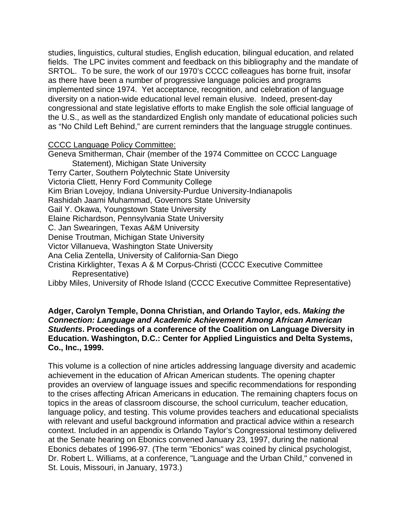studies, linguistics, cultural studies, English education, bilingual education, and related fields. The LPC invites comment and feedback on this bibliography and the mandate of SRTOL. To be sure, the work of our 1970's CCCC colleagues has borne fruit, insofar as there have been a number of progressive language policies and programs implemented since 1974. Yet acceptance, recognition, and celebration of language diversity on a nation-wide educational level remain elusive. Indeed, present-day congressional and state legislative efforts to make English the sole official language of the U.S., as well as the standardized English only mandate of educational policies such as "No Child Left Behind," are current reminders that the language struggle continues.

#### CCCC Language Policy Committee:

**Co., Inc., 1999.**

Geneva Smitherman, Chair (member of the 1974 Committee on CCCC Language Statement), Michigan State University Terry Carter, Southern Polytechnic State University Victoria Cliett, Henry Ford Community College Kim Brian Lovejoy, Indiana University-Purdue University-Indianapolis Rashidah Jaami Muhammad, Governors State University Gail Y. Okawa, Youngstown State University Elaine Richardson, Pennsylvania State University C. Jan Swearingen, Texas A&M University Denise Troutman, Michigan State University Victor Villanueva, Washington State University Ana Celia Zentella, University of California-San Diego Cristina Kirklighter, Texas A & M Corpus-Christi (CCCC Executive Committee Representative) Libby Miles, University of Rhode Island (CCCC Executive Committee Representative)

# **Adger, Carolyn Temple, Donna Christian, and Orlando Taylor, eds.** *Making the Connection: Language and Academic Achievement Among African American Students***. Proceedings of a conference of the Coalition on Language Diversity in Education. Washington, D.C.: Center for Applied Linguistics and Delta Systems,**

This volume is a collection of nine articles addressing language diversity and academic achievement in the education of African American students. The opening chapter provides an overview of language issues and specific recommendations for responding to the crises affecting African Americans in education. The remaining chapters focus on topics in the areas of classroom discourse, the school curriculum, teacher education, language policy, and testing. This volume provides teachers and educational specialists with relevant and useful background information and practical advice within a research context. Included in an appendix is Orlando Taylor's Congressional testimony delivered at the Senate hearing on Ebonics convened January 23, 1997, during the national Ebonics debates of 1996-97. (The term "Ebonics" was coined by clinical psychologist, Dr. Robert L. Williams, at a conference, "Language and the Urban Child," convened in St. Louis, Missouri, in January, 1973.)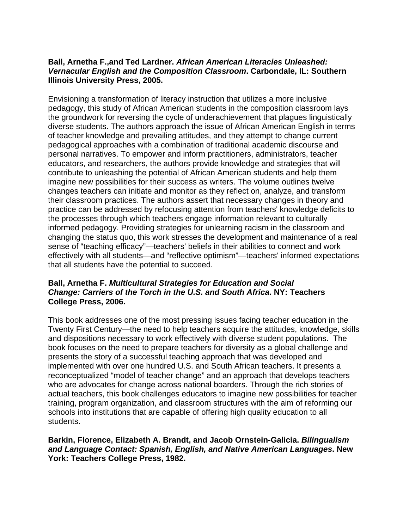## **Ball, Arnetha F.,and Ted Lardner.** *African American Literacies Unleashed: Vernacular English and the Composition Classroom***. Carbondale, IL: Southern Illinois University Press, 2005.**

Envisioning a transformation of literacy instruction that utilizes a more inclusive pedagogy, this study of African American students in the composition classroom lays the groundwork for reversing the cycle of underachievement that plagues linguistically diverse students. The authors approach the issue of African American English in terms of teacher knowledge and prevailing attitudes, and they attempt to change current pedagogical approaches with a combination of traditional academic discourse and personal narratives. To empower and inform practitioners, administrators, teacher educators, and researchers, the authors provide knowledge and strategies that will contribute to unleashing the potential of African American students and help them imagine new possibilities for their success as writers. The volume outlines twelve changes teachers can initiate and monitor as they reflect on, analyze, and transform their classroom practices. The authors assert that necessary changes in theory and practice can be addressed by refocusing attention from teachers' knowledge deficits to the processes through which teachers engage information relevant to culturally informed pedagogy. Providing strategies for unlearning racism in the classroom and changing the status quo, this work stresses the development and maintenance of a real sense of "teaching efficacy"—teachers' beliefs in their abilities to connect and work effectively with all students—and "reflective optimism"—teachers' informed expectations that all students have the potential to succeed.

## **Ball, Arnetha F.** *Multicultural Strategies for Education and Social Change: Carriers of the Torch in the U.S. and South Africa***. NY: Teachers College Press, 2006.**

This book addresses one of the most pressing issues facing teacher education in the Twenty First Century—the need to help teachers acquire the attitudes, knowledge, skills and dispositions necessary to work effectively with diverse student populations. The book focuses on the need to prepare teachers for diversity as a global challenge and presents the story of a successful teaching approach that was developed and implemented with over one hundred U.S. and South African teachers. It presents a reconceptualized "model of teacher change" and an approach that develops teachers who are advocates for change across national boarders. Through the rich stories of actual teachers, this book challenges educators to imagine new possibilities for teacher training, program organization, and classroom structures with the aim of reforming our schools into institutions that are capable of offering high quality education to all students.

#### **Barkin, Florence, Elizabeth A. Brandt, and Jacob Ornstein-Galicia.** *Bilingualism and Language Contact: Spanish, English, and Native American Languages***. New York: Teachers College Press, 1982.**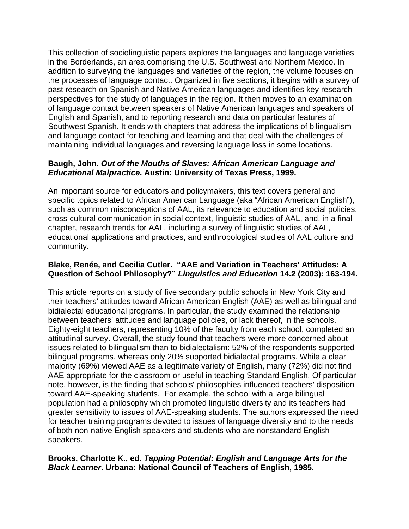This collection of sociolinguistic papers explores the languages and language varieties in the Borderlands, an area comprising the U.S. Southwest and Northern Mexico. In addition to surveying the languages and varieties of the region, the volume focuses on the processes of language contact. Organized in five sections, it begins with a survey of past research on Spanish and Native American languages and identifies key research perspectives for the study of languages in the region. It then moves to an examination of language contact between speakers of Native American languages and speakers of English and Spanish, and to reporting research and data on particular features of Southwest Spanish. It ends with chapters that address the implications of bilingualism and language contact for teaching and learning and that deal with the challenges of maintaining individual languages and reversing language loss in some locations.

## **Baugh, John.** *Out of the Mouths of Slaves: African American Language and Educational Malpractice***. Austin: University of Texas Press, 1999.**

An important source for educators and policymakers, this text covers general and specific topics related to African American Language (aka "African American English"), such as common misconceptions of AAL, its relevance to education and social policies, cross-cultural communication in social context, linguistic studies of AAL, and, in a final chapter, research trends for AAL, including a survey of linguistic studies of AAL, educational applications and practices, and anthropological studies of AAL culture and community.

## **Blake, Renée, and Cecilia Cutler. "AAE and Variation in Teachers' Attitudes: A Question of School Philosophy?"** *Linguistics and Education* **14.2 (2003): 163-194.**

This article reports on a study of five secondary public schools in New York City and their teachers' attitudes toward African American English (AAE) as well as bilingual and bidialectal educational programs. In particular, the study examined the relationship between teachers' attitudes and language policies, or lack thereof, in the schools. Eighty-eight teachers, representing 10% of the faculty from each school, completed an attitudinal survey. Overall, the study found that teachers were more concerned about issues related to bilingualism than to bidialectalism: 52% of the respondents supported bilingual programs, whereas only 20% supported bidialectal programs. While a clear majority (69%) viewed AAE as a legitimate variety of English, many (72%) did not find AAE appropriate for the classroom or useful in teaching Standard English. Of particular note, however, is the finding that schools' philosophies influenced teachers' disposition toward AAE-speaking students. For example, the school with a large bilingual population had a philosophy which promoted linguistic diversity and its teachers had greater sensitivity to issues of AAE-speaking students. The authors expressed the need for teacher training programs devoted to issues of language diversity and to the needs of both non-native English speakers and students who are nonstandard English speakers.

## **Brooks, Charlotte K., ed.** *Tapping Potential: English and Language Arts for the Black Learner***. Urbana: National Council of Teachers of English, 1985.**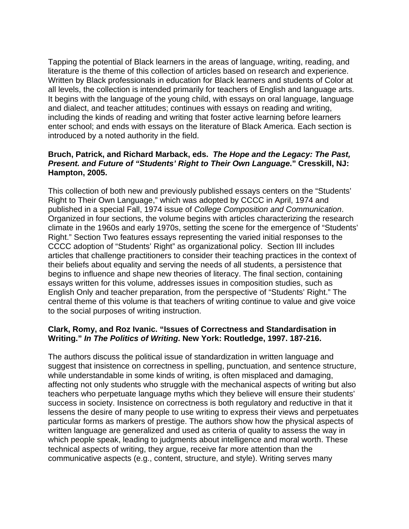Tapping the potential of Black learners in the areas of language, writing, reading, and literature is the theme of this collection of articles based on research and experience. Written by Black professionals in education for Black learners and students of Color at all levels, the collection is intended primarily for teachers of English and language arts. It begins with the language of the young child, with essays on oral language, language and dialect, and teacher attitudes; continues with essays on reading and writing, including the kinds of reading and writing that foster active learning before learners enter school; and ends with essays on the literature of Black America. Each section is introduced by a noted authority in the field.

## **Bruch, Patrick, and Richard Marback, eds.** *The Hope and the Legacy: The Past, Present. and Future of "Students' Right to Their Own Language***." Cresskill, NJ: Hampton, 2005.**

This collection of both new and previously published essays centers on the "Students' Right to Their Own Language," which was adopted by CCCC in April, 1974 and published in a special Fall, 1974 issue of *College Composition and Communication*. Organized in four sections, the volume begins with articles characterizing the research climate in the 1960s and early 1970s, setting the scene for the emergence of "Students' Right." Section Two features essays representing the varied initial responses to the CCCC adoption of "Students' Right" as organizational policy. Section III includes articles that challenge practitioners to consider their teaching practices in the context of their beliefs about equality and serving the needs of all students, a persistence that begins to influence and shape new theories of literacy. The final section, containing essays written for this volume, addresses issues in composition studies, such as English Only and teacher preparation, from the perspective of "Students' Right." The central theme of this volume is that teachers of writing continue to value and give voice to the social purposes of writing instruction.

## **Clark, Romy, and Roz Ivanic. "Issues of Correctness and Standardisation in Writing."** *In The Politics of Writing***. New York: Routledge, 1997. 187-216.**

The authors discuss the political issue of standardization in written language and suggest that insistence on correctness in spelling, punctuation, and sentence structure, while understandable in some kinds of writing, is often misplaced and damaging, affecting not only students who struggle with the mechanical aspects of writing but also teachers who perpetuate language myths which they believe will ensure their students' success in society. Insistence on correctness is both regulatory and reductive in that it lessens the desire of many people to use writing to express their views and perpetuates particular forms as markers of prestige. The authors show how the physical aspects of written language are generalized and used as criteria of quality to assess the way in which people speak, leading to judgments about intelligence and moral worth. These technical aspects of writing, they argue, receive far more attention than the communicative aspects (e.g., content, structure, and style). Writing serves many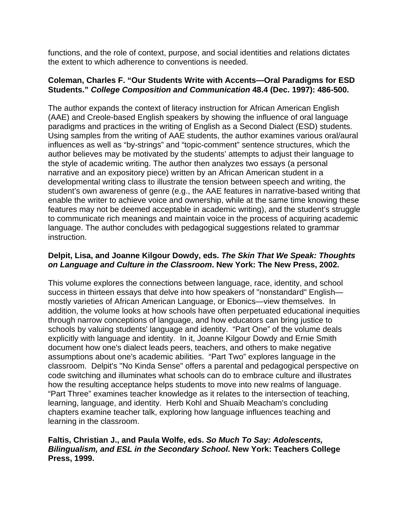functions, and the role of context, purpose, and social identities and relations dictates the extent to which adherence to conventions is needed.

## **Coleman, Charles F. "Our Students Write with Accents—Oral Paradigms for ESD Students."** *College Composition and Communication* **48.4 (Dec. 1997): 486-500.**

The author expands the context of literacy instruction for African American English (AAE) and Creole-based English speakers by showing the influence of oral language paradigms and practices in the writing of English as a Second Dialect (ESD) students. Using samples from the writing of AAE students, the author examines various oral/aural influences as well as "by-strings" and "topic-comment" sentence structures, which the author believes may be motivated by the students' attempts to adjust their language to the style of academic writing. The author then analyzes two essays (a personal narrative and an expository piece) written by an African American student in a developmental writing class to illustrate the tension between speech and writing, the student's own awareness of genre (e.g., the AAE features in narrative-based writing that enable the writer to achieve voice and ownership, while at the same time knowing these features may not be deemed acceptable in academic writing), and the student's struggle to communicate rich meanings and maintain voice in the process of acquiring academic language. The author concludes with pedagogical suggestions related to grammar instruction.

## **Delpit, Lisa, and Joanne Kilgour Dowdy, eds.** *The Skin That We Speak: Thoughts on Language and Culture in the Classroom***. New York: The New Press, 2002.**

This volume explores the connections between language, race, identity, and school success in thirteen essays that delve into how speakers of "nonstandard" English mostly varieties of African American Language, or Ebonics—view themselves. In addition, the volume looks at how schools have often perpetuated educational inequities through narrow conceptions of language, and how educators can bring justice to schools by valuing students' language and identity. "Part One" of the volume deals explicitly with language and identity. In it, Joanne Kilgour Dowdy and Ernie Smith document how one's dialect leads peers, teachers, and others to make negative assumptions about one's academic abilities. "Part Two" explores language in the classroom. Delpit's "No Kinda Sense" offers a parental and pedagogical perspective on code switching and illuminates what schools can do to embrace culture and illustrates how the resulting acceptance helps students to move into new realms of language. "Part Three" examines teacher knowledge as it relates to the intersection of teaching, learning, language, and identity. Herb Kohl and Shuaib Meacham's concluding chapters examine teacher talk, exploring how language influences teaching and learning in the classroom.

#### **Faltis, Christian J., and Paula Wolfe, eds.** *So Much To Say: Adolescents, Bilingualism, and ESL in the Secondary School***. New York: Teachers College Press, 1999.**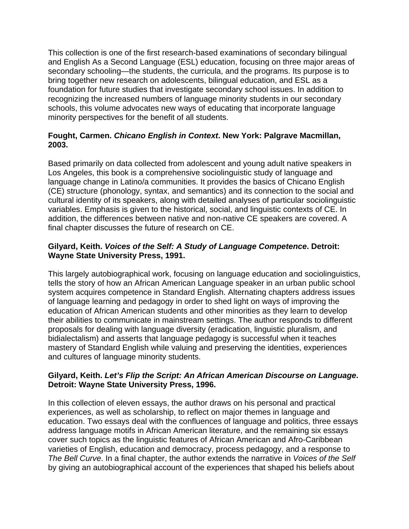This collection is one of the first research-based examinations of secondary bilingual and English As a Second Language (ESL) education, focusing on three major areas of secondary schooling—the students, the curricula, and the programs. Its purpose is to bring together new research on adolescents, bilingual education, and ESL as a foundation for future studies that investigate secondary school issues. In addition to recognizing the increased numbers of language minority students in our secondary schools, this volume advocates new ways of educating that incorporate language minority perspectives for the benefit of all students.

## **Fought, Carmen.** *Chicano English in Context***. New York: Palgrave Macmillan, 2003.**

Based primarily on data collected from adolescent and young adult native speakers in Los Angeles, this book is a comprehensive sociolinguistic study of language and language change in Latino/a communities. It provides the basics of Chicano English (CE) structure (phonology, syntax, and semantics) and its connection to the social and cultural identity of its speakers, along with detailed analyses of particular sociolinguistic variables. Emphasis is given to the historical, social, and linguistic contexts of CE. In addition, the differences between native and non-native CE speakers are covered. A final chapter discusses the future of research on CE.

## **Gilyard, Keith.** *Voices of the Self: A Study of Language Competence***. Detroit: Wayne State University Press, 1991.**

This largely autobiographical work, focusing on language education and sociolinguistics, tells the story of how an African American Language speaker in an urban public school system acquires competence in Standard English. Alternating chapters address issues of language learning and pedagogy in order to shed light on ways of improving the education of African American students and other minorities as they learn to develop their abilities to communicate in mainstream settings. The author responds to different proposals for dealing with language diversity (eradication, linguistic pluralism, and bidialectalism) and asserts that language pedagogy is successful when it teaches mastery of Standard English while valuing and preserving the identities, experiences and cultures of language minority students.

## **Gilyard, Keith.** *Let's Flip the Script: An African American Discourse on Language***. Detroit: Wayne State University Press, 1996.**

In this collection of eleven essays, the author draws on his personal and practical experiences, as well as scholarship, to reflect on major themes in language and education. Two essays deal with the confluences of language and politics, three essays address language motifs in African American literature, and the remaining six essays cover such topics as the linguistic features of African American and Afro-Caribbean varieties of English, education and democracy, process pedagogy, and a response to *The Bell Curve*. In a final chapter, the author extends the narrative in *Voices of the Self* by giving an autobiographical account of the experiences that shaped his beliefs about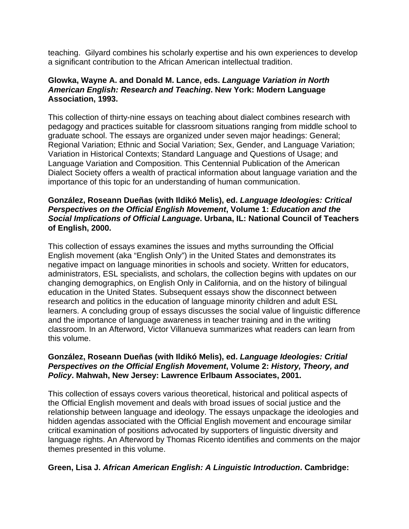teaching. Gilyard combines his scholarly expertise and his own experiences to develop a significant contribution to the African American intellectual tradition.

## **Glowka, Wayne A. and Donald M. Lance, eds.** *Language Variation in North American English: Research and Teaching***. New York: Modern Language Association, 1993.**

This collection of thirty-nine essays on teaching about dialect combines research with pedagogy and practices suitable for classroom situations ranging from middle school to graduate school. The essays are organized under seven major headings: General; Regional Variation; Ethnic and Social Variation; Sex, Gender, and Language Variation; Variation in Historical Contexts; Standard Language and Questions of Usage; and Language Variation and Composition. This Centennial Publication of the American Dialect Society offers a wealth of practical information about language variation and the importance of this topic for an understanding of human communication.

## **González, Roseann Dueñas (with Ildikó Melis), ed.** *Language Ideologies: Critical Perspectives on the Official English Movement***, Volume 1:** *Education and the Social Implications of Official Language***. Urbana, IL: National Council of Teachers of English, 2000.**

This collection of essays examines the issues and myths surrounding the Official English movement (aka "English Only") in the United States and demonstrates its negative impact on language minorities in schools and society. Written for educators, administrators, ESL specialists, and scholars, the collection begins with updates on our changing demographics, on English Only in California, and on the history of bilingual education in the United States. Subsequent essays show the disconnect between research and politics in the education of language minority children and adult ESL learners. A concluding group of essays discusses the social value of linguistic difference and the importance of language awareness in teacher training and in the writing classroom. In an Afterword, Victor Villanueva summarizes what readers can learn from this volume.

## **González, Roseann Dueñas (with Ildikó Melis), ed.** *Language Ideologies: Critial Perspectives on the Official English Movement***, Volume 2:** *History, Theory, and Policy***. Mahwah, New Jersey: Lawrence Erlbaum Associates, 2001.**

This collection of essays covers various theoretical, historical and political aspects of the Official English movement and deals with broad issues of social justice and the relationship between language and ideology. The essays unpackage the ideologies and hidden agendas associated with the Official English movement and encourage similar critical examination of positions advocated by supporters of linguistic diversity and language rights. An Afterword by Thomas Ricento identifies and comments on the major themes presented in this volume.

# **Green, Lisa J.** *African American English: A Linguistic Introduction***. Cambridge:**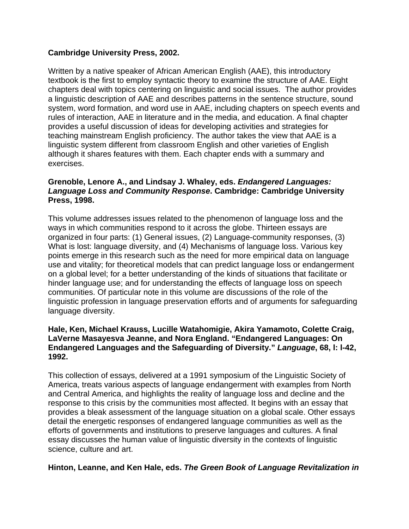## **Cambridge University Press, 2002.**

Written by a native speaker of African American English (AAE), this introductory textbook is the first to employ syntactic theory to examine the structure of AAE. Eight chapters deal with topics centering on linguistic and social issues. The author provides a linguistic description of AAE and describes patterns in the sentence structure, sound system, word formation, and word use in AAE, including chapters on speech events and rules of interaction, AAE in literature and in the media, and education. A final chapter provides a useful discussion of ideas for developing activities and strategies for teaching mainstream English proficiency. The author takes the view that AAE is a linguistic system different from classroom English and other varieties of English although it shares features with them. Each chapter ends with a summary and exercises.

## **Grenoble, Lenore A., and Lindsay J. Whaley, eds.** *Endangered Languages: Language Loss and Community Response***. Cambridge: Cambridge University Press, 1998.**

This volume addresses issues related to the phenomenon of language loss and the ways in which communities respond to it across the globe. Thirteen essays are organized in four parts: (1) General issues, (2) Language-community responses, (3) What is lost: language diversity, and (4) Mechanisms of language loss. Various key points emerge in this research such as the need for more empirical data on language use and vitality; for theoretical models that can predict language loss or endangerment on a global level; for a better understanding of the kinds of situations that facilitate or hinder language use; and for understanding the effects of language loss on speech communities. Of particular note in this volume are discussions of the role of the linguistic profession in language preservation efforts and of arguments for safeguarding language diversity.

## **Hale, Ken, Michael Krauss, Lucille Watahomigie, Akira Yamamoto, Colette Craig, LaVerne Masayesva Jeanne, and Nora England. "Endangered Languages: On Endangered Languages and the Safeguarding of Diversity."** *Language***, 68, l: l-42, 1992.**

This collection of essays, delivered at a 1991 symposium of the Linguistic Society of America, treats various aspects of language endangerment with examples from North and Central America, and highlights the reality of language loss and decline and the response to this crisis by the communities most affected. It begins with an essay that provides a bleak assessment of the language situation on a global scale. Other essays detail the energetic responses of endangered language communities as well as the efforts of governments and institutions to preserve languages and cultures. A final essay discusses the human value of linguistic diversity in the contexts of linguistic science, culture and art.

## **Hinton, Leanne, and Ken Hale, eds.** *The Green Book of Language Revitalization in*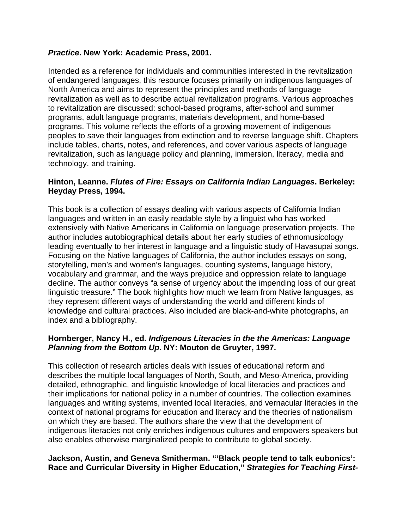## *Practice***. New York: Academic Press, 2001.**

Intended as a reference for individuals and communities interested in the revitalization of endangered languages, this resource focuses primarily on indigenous languages of North America and aims to represent the principles and methods of language revitalization as well as to describe actual revitalization programs. Various approaches to revitalization are discussed: school-based programs, after-school and summer programs, adult language programs, materials development, and home-based programs. This volume reflects the efforts of a growing movement of indigenous peoples to save their languages from extinction and to reverse language shift. Chapters include tables, charts, notes, and references, and cover various aspects of language revitalization, such as language policy and planning, immersion, literacy, media and technology, and training.

## **Hinton, Leanne.** *Flutes of Fire: Essays on California Indian Languages***. Berkeley: Heyday Press, 1994.**

This book is a collection of essays dealing with various aspects of California Indian languages and written in an easily readable style by a linguist who has worked extensively with Native Americans in California on language preservation projects. The author includes autobiographical details about her early studies of ethnomusicology leading eventually to her interest in language and a linguistic study of Havasupai songs. Focusing on the Native languages of California, the author includes essays on song, storytelling, men's and women's languages, counting systems, language history, vocabulary and grammar, and the ways prejudice and oppression relate to language decline. The author conveys "a sense of urgency about the impending loss of our great linguistic treasure." The book highlights how much we learn from Native languages, as they represent different ways of understanding the world and different kinds of knowledge and cultural practices. Also included are black-and-white photographs, an index and a bibliography.

## **Hornberger, Nancy H., ed.** *Indigenous Literacies in the the Americas: Language Planning from the Bottom Up***. NY: Mouton de Gruyter, 1997.**

This collection of research articles deals with issues of educational reform and describes the multiple local languages of North, South, and Meso-America, providing detailed, ethnographic, and linguistic knowledge of local literacies and practices and their implications for national policy in a number of countries. The collection examines languages and writing systems, invented local literacies, and vernacular literacies in the context of national programs for education and literacy and the theories of nationalism on which they are based. The authors share the view that the development of indigenous literacies not only enriches indigenous cultures and empowers speakers but also enables otherwise marginalized people to contribute to global society.

## **Jackson, Austin, and Geneva Smitherman. "'Black people tend to talk eubonics': Race and Curricular Diversity in Higher Education,"** *Strategies for Teaching First-*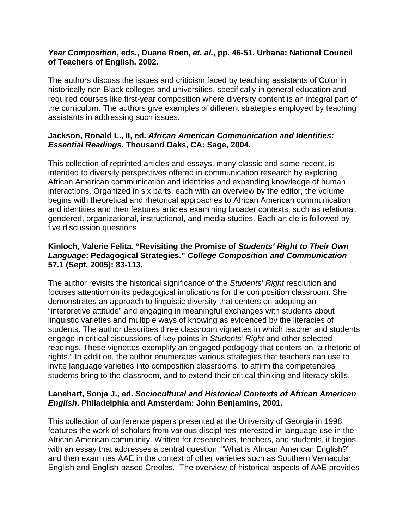## *Year Composition***, eds., Duane Roen,** *et. al.***, pp. 46-51. Urbana: National Council of Teachers of English, 2002.**

The authors discuss the issues and criticism faced by teaching assistants of Color in historically non-Black colleges and universities, specifically in general education and required courses like first-year composition where diversity content is an integral part of the curriculum. The authors give examples of different strategies employed by teaching assistants in addressing such issues.

## **Jackson, Ronald L., II, ed.** *African American Communication and Identities: Essential Readings***. Thousand Oaks, CA: Sage, 2004.**

This collection of reprinted articles and essays, many classic and some recent, is intended to diversify perspectives offered in communication research by exploring African American communication and identities and expanding knowledge of human interactions. Organized in six parts, each with an overview by the editor, the volume begins with theoretical and rhetorical approaches to African American communication and identities and then features articles examining broader contexts, such as relational, gendered, organizational, instructional, and media studies. Each article is followed by five discussion questions.

## **Kinloch, Valerie Felita. "Revisiting the Promise of** *Students' Right to Their Own Language***: Pedagogical Strategies."** *College Composition and Communication* **57.1 (Sept. 2005): 83-113.**

The author revisits the historical significance of the *Students' Right* resolution and focuses attention on its pedagogical implications for the composition classroom. She demonstrates an approach to linguistic diversity that centers on adopting an "interpretive attitude" and engaging in meaningful exchanges with students about linguistic varieties and multiple ways of knowing as evidenced by the literacies of students. The author describes three classroom vignettes in which teacher and students engage in critical discussions of key points in *Students' Right* and other selected readings. These vignettes exemplify an engaged pedagogy that centers on "a rhetoric of rights." In addition, the author enumerates various strategies that teachers can use to invite language varieties into composition classrooms, to affirm the competencies students bring to the classroom, and to extend their critical thinking and literacy skills.

## **Lanehart, Sonja J., ed.** *Sociocultural and Historical Contexts of African American English***. Philadelphia and Amsterdam: John Benjamins, 2001.**

This collection of conference papers presented at the University of Georgia in 1998 features the work of scholars from various disciplines interested in language use in the African American community. Written for researchers, teachers, and students, it begins with an essay that addresses a central question, "What is African American English?" and then examines AAE in the context of other varieties such as Southern Vernacular English and English-based Creoles. The overview of historical aspects of AAE provides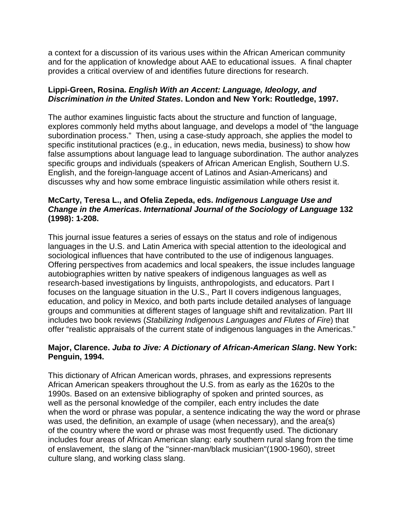a context for a discussion of its various uses within the African American community and for the application of knowledge about AAE to educational issues. A final chapter provides a critical overview of and identifies future directions for research.

## **Lippi-Green, Rosina.** *English With an Accent: Language, Ideology, and Discrimination in the United States***. London and New York: Routledge, 1997.**

The author examines linguistic facts about the structure and function of language, explores commonly held myths about language, and develops a model of "the language subordination process." Then, using a case-study approach, she applies the model to specific institutional practices (e.g., in education, news media, business) to show how false assumptions about language lead to language subordination. The author analyzes specific groups and individuals (speakers of African American English, Southern U.S. English, and the foreign-language accent of Latinos and Asian-Americans) and discusses why and how some embrace linguistic assimilation while others resist it.

## **McCarty, Teresa L., and Ofelia Zepeda, eds.** *Indigenous Language Use and Change in the Americas***.** *International Journal of the Sociology of Language* **132 (1998): 1-208.**

This journal issue features a series of essays on the status and role of indigenous languages in the U.S. and Latin America with special attention to the ideological and sociological influences that have contributed to the use of indigenous languages. Offering perspectives from academics and local speakers, the issue includes language autobiographies written by native speakers of indigenous languages as well as research-based investigations by linguists, anthropologists, and educators. Part I focuses on the language situation in the U.S., Part II covers indigenous languages, education, and policy in Mexico, and both parts include detailed analyses of language groups and communities at different stages of language shift and revitalization. Part III includes two book reviews (*Stabilizing Indigenous Languages and Flutes of Fire*) that offer "realistic appraisals of the current state of indigenous languages in the Americas."

## **Major, Clarence.** *Juba to Jive: A Dictionary of African-American Slang***. New York: Penguin, 1994.**

This dictionary of African American words, phrases, and expressions represents African American speakers throughout the U.S. from as early as the 1620s to the 1990s. Based on an extensive bibliography of spoken and printed sources, as well as the personal knowledge of the compiler, each entry includes the date when the word or phrase was popular, a sentence indicating the way the word or phrase was used, the definition, an example of usage (when necessary), and the area(s) of the country where the word or phrase was most frequently used. The dictionary includes four areas of African American slang: early southern rural slang from the time of enslavement, the slang of the "sinner-man/black musician"(1900-1960), street culture slang, and working class slang.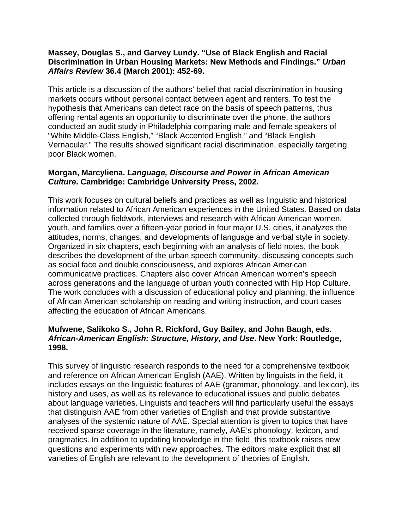#### **Massey, Douglas S., and Garvey Lundy. "Use of Black English and Racial Discrimination in Urban Housing Markets: New Methods and Findings."** *Urban Affairs Review* **36.4 (March 2001): 452-69.**

This article is a discussion of the authors' belief that racial discrimination in housing markets occurs without personal contact between agent and renters. To test the hypothesis that Americans can detect race on the basis of speech patterns, thus offering rental agents an opportunity to discriminate over the phone, the authors conducted an audit study in Philadelphia comparing male and female speakers of "White Middle-Class English," "Black Accented English," and "Black English Vernacular." The results showed significant racial discrimination, especially targeting poor Black women.

## **Morgan, Marcyliena.** *Language, Discourse and Power in African American Culture***. Cambridge: Cambridge University Press, 2002.**

This work focuses on cultural beliefs and practices as well as linguistic and historical information related to African American experiences in the United States. Based on data collected through fieldwork, interviews and research with African American women, youth, and families over a fifteen-year period in four major U.S. cities, it analyzes the attitudes, norms, changes, and developments of language and verbal style in society. Organized in six chapters, each beginning with an analysis of field notes, the book describes the development of the urban speech community, discussing concepts such as social face and double consciousness, and explores African American communicative practices. Chapters also cover African American women's speech across generations and the language of urban youth connected with Hip Hop Culture. The work concludes with a discussion of educational policy and planning, the influence of African American scholarship on reading and writing instruction, and court cases affecting the education of African Americans.

## **Mufwene, Salikoko S., John R. Rickford, Guy Bailey, and John Baugh, eds.**  *African-American English: Structure, History, and Use***. New York: Routledge, 1998.**

This survey of linguistic research responds to the need for a comprehensive textbook and reference on African American English (AAE). Written by linguists in the field, it includes essays on the linguistic features of AAE (grammar, phonology, and lexicon), its history and uses, as well as its relevance to educational issues and public debates about language varieties. Linguists and teachers will find particularly useful the essays that distinguish AAE from other varieties of English and that provide substantive analyses of the systemic nature of AAE. Special attention is given to topics that have received sparse coverage in the literature, namely, AAE's phonology, lexicon, and pragmatics. In addition to updating knowledge in the field, this textbook raises new questions and experiments with new approaches. The editors make explicit that all varieties of English are relevant to the development of theories of English.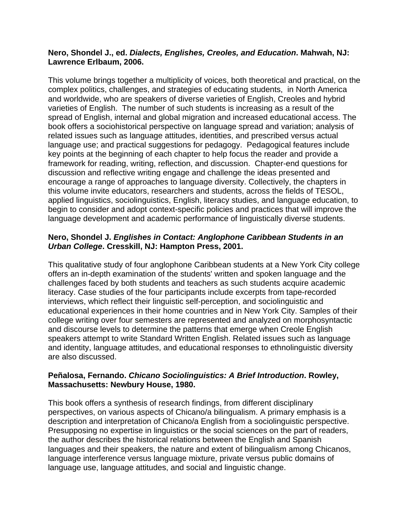## **Nero, Shondel J., ed.** *Dialects, Englishes, Creoles, and Education***. Mahwah, NJ: Lawrence Erlbaum, 2006.**

This volume brings together a multiplicity of voices, both theoretical and practical, on the complex politics, challenges, and strategies of educating students, in North America and worldwide, who are speakers of diverse varieties of English, Creoles and hybrid varieties of English. The number of such students is increasing as a result of the spread of English, internal and global migration and increased educational access. The book offers a sociohistorical perspective on language spread and variation; analysis of related issues such as language attitudes, identities, and prescribed versus actual language use; and practical suggestions for pedagogy. Pedagogical features include key points at the beginning of each chapter to help focus the reader and provide a framework for reading, writing, reflection, and discussion. Chapter-end questions for discussion and reflective writing engage and challenge the ideas presented and encourage a range of approaches to language diversity. Collectively, the chapters in this volume invite educators, researchers and students, across the fields of TESOL, applied linguistics, sociolinguistics, English, literacy studies, and language education, to begin to consider and adopt context-specific policies and practices that will improve the language development and academic performance of linguistically diverse students.

## **Nero, Shondel J.** *Englishes in Contact: Anglophone Caribbean Students in an Urban College***. Cresskill, NJ: Hampton Press, 2001.**

This qualitative study of four anglophone Caribbean students at a New York City college offers an in-depth examination of the students' written and spoken language and the challenges faced by both students and teachers as such students acquire academic literacy. Case studies of the four participants include excerpts from tape-recorded interviews, which reflect their linguistic self-perception, and sociolinguistic and educational experiences in their home countries and in New York City. Samples of their college writing over four semesters are represented and analyzed on morphosyntactic and discourse levels to determine the patterns that emerge when Creole English speakers attempt to write Standard Written English. Related issues such as language and identity, language attitudes, and educational responses to ethnolinguistic diversity are also discussed.

## **Peñalosa, Fernando.** *Chicano Sociolinguistics: A Brief Introduction***. Rowley, Massachusetts: Newbury House, 1980.**

This book offers a synthesis of research findings, from different disciplinary perspectives, on various aspects of Chicano/a bilingualism. A primary emphasis is a description and interpretation of Chicano/a English from a sociolinguistic perspective. Presupposing no expertise in linguistics or the social sciences on the part of readers, the author describes the historical relations between the English and Spanish languages and their speakers, the nature and extent of bilingualism among Chicanos, language interference versus language mixture, private versus public domains of language use, language attitudes, and social and linguistic change.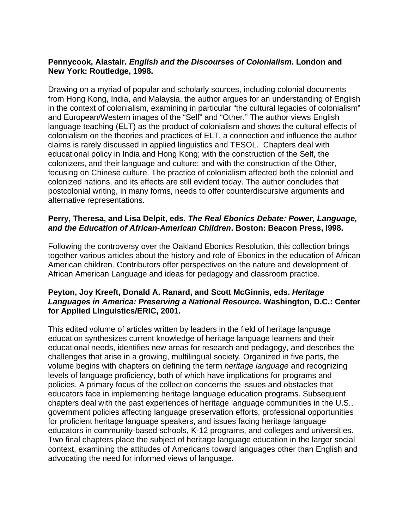## **Pennycook, Alastair.** *English and the Discourses of Colonialism***. London and New York: Routledge, 1998.**

Drawing on a myriad of popular and scholarly sources, including colonial documents from Hong Kong, India, and Malaysia, the author argues for an understanding of English in the context of colonialism, examining in particular "the cultural legacies of colonialism" and European/Western images of the "Self" and "Other." The author views English language teaching (ELT) as the product of colonialism and shows the cultural effects of colonialism on the theories and practices of ELT, a connection and influence the author claims is rarely discussed in applied linguistics and TESOL. Chapters deal with educational policy in India and Hong Kong; with the construction of the Self, the colonizers, and their language and culture; and with the construction of the Other, focusing on Chinese culture. The practice of colonialism affected both the colonial and colonized nations, and its effects are still evident today. The author concludes that postcolonial writing, in many forms, needs to offer counterdiscursive arguments and alternative representations.

## **Perry, Theresa, and Lisa Delpit, eds.** *The Real Ebonics Debate: Power, Language, and the Education of African-American Children***. Boston: Beacon Press, l998.**

Following the controversy over the Oakland Ebonics Resolution, this collection brings together various articles about the history and role of Ebonics in the education of African American children. Contributors offer perspectives on the nature and development of African American Language and ideas for pedagogy and classroom practice.

## **Peyton, Joy Kreeft, Donald A. Ranard, and Scott McGinnis, eds.** *Heritage Languages in America: Preserving a National Resource***. Washington, D.C.: Center for Applied Linguistics/ERIC, 2001.**

This edited volume of articles written by leaders in the field of heritage language education synthesizes current knowledge of heritage language learners and their educational needs, identifies new areas for research and pedagogy, and describes the challenges that arise in a growing, multilingual society. Organized in five parts, the volume begins with chapters on defining the term *heritage language* and recognizing levels of language proficiency, both of which have implications for programs and policies. A primary focus of the collection concerns the issues and obstacles that educators face in implementing heritage language education programs. Subsequent chapters deal with the past experiences of heritage language communities in the U.S., government policies affecting language preservation efforts, professional opportunities for proficient heritage language speakers, and issues facing heritage language educators in community-based schools, K-12 programs, and colleges and universities. Two final chapters place the subject of heritage language education in the larger social context, examining the attitudes of Americans toward languages other than English and advocating the need for informed views of language.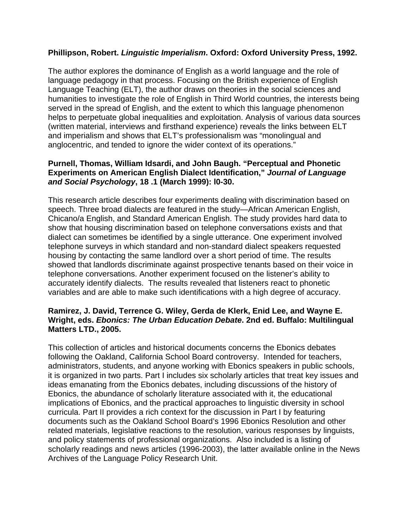## **Phillipson, Robert.** *Linguistic Imperialism***. Oxford: Oxford University Press, 1992.**

The author explores the dominance of English as a world language and the role of language pedagogy in that process. Focusing on the British experience of English Language Teaching (ELT), the author draws on theories in the social sciences and humanities to investigate the role of English in Third World countries, the interests being served in the spread of English, and the extent to which this language phenomenon helps to perpetuate global inequalities and exploitation. Analysis of various data sources (written material, interviews and firsthand experience) reveals the links between ELT and imperialism and shows that ELT's professionalism was "monolingual and anglocentric, and tended to ignore the wider context of its operations."

## **Purnell, Thomas, William Idsardi, and John Baugh. "Perceptual and Phonetic Experiments on American English Dialect Identification,"** *Journal of Language and Social Psychology***, 18 .1 (March 1999): l0-30.**

This research article describes four experiments dealing with discrimination based on speech. Three broad dialects are featured in the study—African American English, Chicano/a English, and Standard American English. The study provides hard data to show that housing discrimination based on telephone conversations exists and that dialect can sometimes be identified by a single utterance. One experiment involved telephone surveys in which standard and non-standard dialect speakers requested housing by contacting the same landlord over a short period of time. The results showed that landlords discriminate against prospective tenants based on their voice in telephone conversations. Another experiment focused on the listener's ability to accurately identify dialects. The results revealed that listeners react to phonetic variables and are able to make such identifications with a high degree of accuracy.

## **Ramirez, J. David, Terrence G. Wiley, Gerda de Klerk, Enid Lee, and Wayne E. Wright, eds.** *Ebonics: The Urban Education Debate***. 2nd ed. Buffalo: Multilingual Matters LTD., 2005.**

This collection of articles and historical documents concerns the Ebonics debates following the Oakland, California School Board controversy. Intended for teachers, administrators, students, and anyone working with Ebonics speakers in public schools, it is organized in two parts. Part I includes six scholarly articles that treat key issues and ideas emanating from the Ebonics debates, including discussions of the history of Ebonics, the abundance of scholarly literature associated with it, the educational implications of Ebonics, and the practical approaches to linguistic diversity in school curricula. Part II provides a rich context for the discussion in Part I by featuring documents such as the Oakland School Board's 1996 Ebonics Resolution and other related materials, legislative reactions to the resolution, various responses by linguists, and policy statements of professional organizations. Also included is a listing of scholarly readings and news articles (1996-2003), the latter available online in the News Archives of the Language Policy Research Unit.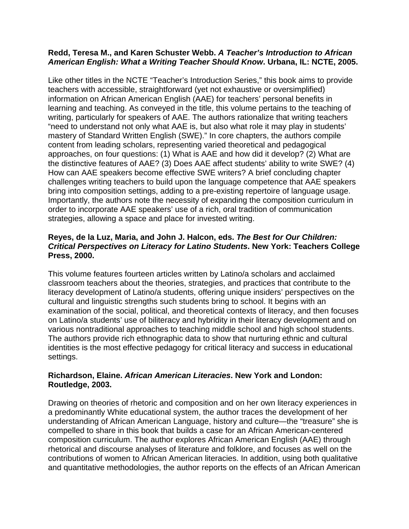#### **Redd, Teresa M., and Karen Schuster Webb.** *A Teacher's Introduction to African American English: What a Writing Teacher Should Know***. Urbana, IL: NCTE, 2005.**

Like other titles in the NCTE "Teacher's Introduction Series," this book aims to provide teachers with accessible, straightforward (yet not exhaustive or oversimplified) information on African American English (AAE) for teachers' personal benefits in learning and teaching. As conveyed in the title, this volume pertains to the teaching of writing, particularly for speakers of AAE. The authors rationalize that writing teachers "need to understand not only what AAE is, but also what role it may play in students' mastery of Standard Written English (SWE)." In core chapters, the authors compile content from leading scholars, representing varied theoretical and pedagogical approaches, on four questions: (1) What is AAE and how did it develop? (2) What are the distinctive features of AAE? (3) Does AAE affect students' ability to write SWE? (4) How can AAE speakers become effective SWE writers? A brief concluding chapter challenges writing teachers to build upon the language competence that AAE speakers bring into composition settings, adding to a pre-existing repertoire of language usage. Importantly, the authors note the necessity of expanding the composition curriculum in order to incorporate AAE speakers' use of a rich, oral tradition of communication strategies, allowing a space and place for invested writing.

## **Reyes, de la Luz, Maria, and John J. Halcon, eds.** *The Best for Our Children: Critical Perspectives on Literacy for Latino Students***. New York: Teachers College Press, 2000.**

This volume features fourteen articles written by Latino/a scholars and acclaimed classroom teachers about the theories, strategies, and practices that contribute to the literacy development of Latino/a students, offering unique insiders' perspectives on the cultural and linguistic strengths such students bring to school. It begins with an examination of the social, political, and theoretical contexts of literacy, and then focuses on Latino/a students' use of biliteracy and hybridity in their literacy development and on various nontraditional approaches to teaching middle school and high school students. The authors provide rich ethnographic data to show that nurturing ethnic and cultural identities is the most effective pedagogy for critical literacy and success in educational settings.

## **Richardson, Elaine.** *African American Literacies***. New York and London: Routledge, 2003.**

Drawing on theories of rhetoric and composition and on her own literacy experiences in a predominantly White educational system, the author traces the development of her understanding of African American Language, history and culture—the "treasure" she is compelled to share in this book that builds a case for an African American-centered composition curriculum. The author explores African American English (AAE) through rhetorical and discourse analyses of literature and folklore, and focuses as well on the contributions of women to African American literacies. In addition, using both qualitative and quantitative methodologies, the author reports on the effects of an African American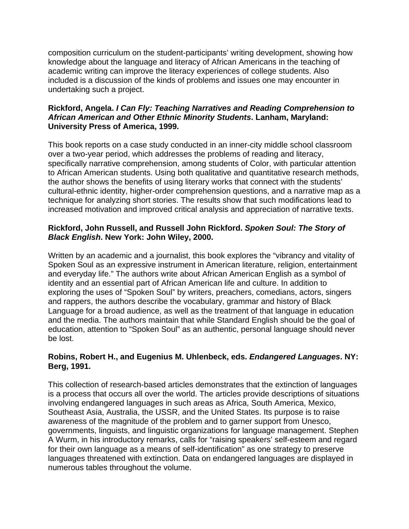composition curriculum on the student-participants' writing development, showing how knowledge about the language and literacy of African Americans in the teaching of academic writing can improve the literacy experiences of college students. Also included is a discussion of the kinds of problems and issues one may encounter in undertaking such a project.

## **Rickford, Angela.** *I Can Fly: Teaching Narratives and Reading Comprehension to African American and Other Ethnic Minority Students***. Lanham, Maryland: University Press of America, 1999.**

This book reports on a case study conducted in an inner-city middle school classroom over a two-year period, which addresses the problems of reading and literacy, specifically narrative comprehension, among students of Color, with particular attention to African American students. Using both qualitative and quantitative research methods, the author shows the benefits of using literary works that connect with the students' cultural-ethnic identity, higher-order comprehension questions, and a narrative map as a technique for analyzing short stories. The results show that such modifications lead to increased motivation and improved critical analysis and appreciation of narrative texts.

## **Rickford, John Russell, and Russell John Rickford.** *Spoken Soul: The Story of Black English***. New York: John Wiley, 2000.**

Written by an academic and a journalist, this book explores the "vibrancy and vitality of Spoken Soul as an expressive instrument in American literature, religion, entertainment and everyday life." The authors write about African American English as a symbol of identity and an essential part of African American life and culture. In addition to exploring the uses of "Spoken Soul" by writers, preachers, comedians, actors, singers and rappers, the authors describe the vocabulary, grammar and history of Black Language for a broad audience, as well as the treatment of that language in education and the media. The authors maintain that while Standard English should be the goal of education, attention to "Spoken Soul" as an authentic, personal language should never be lost.

## **Robins, Robert H., and Eugenius M. Uhlenbeck, eds.** *Endangered Languages***. NY: Berg, 1991.**

This collection of research-based articles demonstrates that the extinction of languages is a process that occurs all over the world. The articles provide descriptions of situations involving endangered languages in such areas as Africa, South America, Mexico, Southeast Asia, Australia, the USSR, and the United States. Its purpose is to raise awareness of the magnitude of the problem and to garner support from Unesco, governments, linguists, and linguistic organizations for language management. Stephen A Wurm, in his introductory remarks, calls for "raising speakers' self-esteem and regard for their own language as a means of self-identification" as one strategy to preserve languages threatened with extinction. Data on endangered languages are displayed in numerous tables throughout the volume.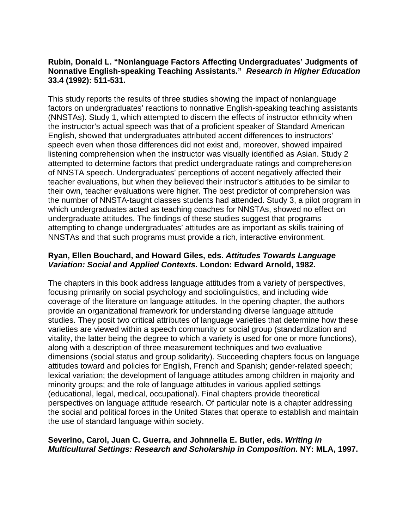## **Rubin, Donald L. "Nonlanguage Factors Affecting Undergraduates' Judgments of Nonnative English-speaking Teaching Assistants."** *Research in Higher Education* **33.4 (1992): 511-531.**

This study reports the results of three studies showing the impact of nonlanguage factors on undergraduates' reactions to nonnative English-speaking teaching assistants (NNSTAs). Study 1, which attempted to discern the effects of instructor ethnicity when the instructor's actual speech was that of a proficient speaker of Standard American English, showed that undergraduates attributed accent differences to instructors' speech even when those differences did not exist and, moreover, showed impaired listening comprehension when the instructor was visually identified as Asian. Study 2 attempted to determine factors that predict undergraduate ratings and comprehension of NNSTA speech. Undergraduates' perceptions of accent negatively affected their teacher evaluations, but when they believed their instructor's attitudes to be similar to their own, teacher evaluations were higher. The best predictor of comprehension was the number of NNSTA-taught classes students had attended. Study 3, a pilot program in which undergraduates acted as teaching coaches for NNSTAs, showed no effect on undergraduate attitudes. The findings of these studies suggest that programs attempting to change undergraduates' attitudes are as important as skills training of NNSTAs and that such programs must provide a rich, interactive environment.

## **Ryan, Ellen Bouchard, and Howard Giles, eds.** *Attitudes Towards Language Variation: Social and Applied Contexts***. London: Edward Arnold, 1982.**

The chapters in this book address language attitudes from a variety of perspectives, focusing primarily on social psychology and sociolinguistics, and including wide coverage of the literature on language attitudes. In the opening chapter, the authors provide an organizational framework for understanding diverse language attitude studies. They posit two critical attributes of language varieties that determine how these varieties are viewed within a speech community or social group (standardization and vitality, the latter being the degree to which a variety is used for one or more functions), along with a description of three measurement techniques and two evaluative dimensions (social status and group solidarity). Succeeding chapters focus on language attitudes toward and policies for English, French and Spanish; gender-related speech; lexical variation; the development of language attitudes among children in majority and minority groups; and the role of language attitudes in various applied settings (educational, legal, medical, occupational). Final chapters provide theoretical perspectives on language attitude research. Of particular note is a chapter addressing the social and political forces in the United States that operate to establish and maintain the use of standard language within society.

## **Severino, Carol, Juan C. Guerra, and Johnnella E. Butler, eds.** *Writing in Multicultural Settings: Research and Scholarship in Composition***. NY: MLA, 1997.**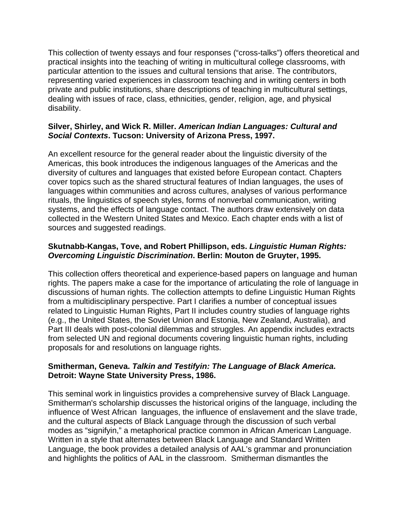This collection of twenty essays and four responses ("cross-talks") offers theoretical and practical insights into the teaching of writing in multicultural college classrooms, with particular attention to the issues and cultural tensions that arise. The contributors, representing varied experiences in classroom teaching and in writing centers in both private and public institutions, share descriptions of teaching in multicultural settings, dealing with issues of race, class, ethnicities, gender, religion, age, and physical disability.

## **Silver, Shirley, and Wick R. Miller.** *American Indian Languages: Cultural and Social Contexts***. Tucson: University of Arizona Press, 1997.**

An excellent resource for the general reader about the linguistic diversity of the Americas, this book introduces the indigenous languages of the Americas and the diversity of cultures and languages that existed before European contact. Chapters cover topics such as the shared structural features of Indian languages, the uses of languages within communities and across cultures, analyses of various performance rituals, the linguistics of speech styles, forms of nonverbal communication, writing systems, and the effects of language contact. The authors draw extensively on data collected in the Western United States and Mexico. Each chapter ends with a list of sources and suggested readings.

# **Skutnabb-Kangas, Tove, and Robert Phillipson, eds.** *Linguistic Human Rights: Overcoming Linguistic Discrimination***. Berlin: Mouton de Gruyter, 1995.**

This collection offers theoretical and experience-based papers on language and human rights. The papers make a case for the importance of articulating the role of language in discussions of human rights. The collection attempts to define Linguistic Human Rights from a multidisciplinary perspective. Part I clarifies a number of conceptual issues related to Linguistic Human Rights, Part II includes country studies of language rights (e.g., the United States, the Soviet Union and Estonia, New Zealand, Australia), and Part III deals with post-colonial dilemmas and struggles. An appendix includes extracts from selected UN and regional documents covering linguistic human rights, including proposals for and resolutions on language rights.

## **Smitherman, Geneva.** *Talkin and Testifyin: The Language of Black America***. Detroit: Wayne State University Press, 1986.**

This seminal work in linguistics provides a comprehensive survey of Black Language. Smitherman's scholarship discusses the historical origins of the language, including the influence of West African languages, the influence of enslavement and the slave trade, and the cultural aspects of Black Language through the discussion of such verbal modes as "signifyin," a metaphorical practice common in African American Language. Written in a style that alternates between Black Language and Standard Written Language, the book provides a detailed analysis of AAL's grammar and pronunciation and highlights the politics of AAL in the classroom. Smitherman dismantles the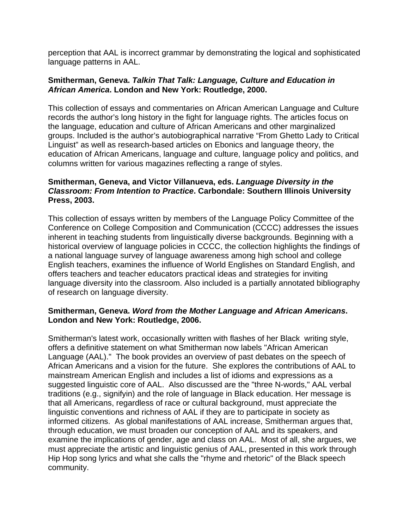perception that AAL is incorrect grammar by demonstrating the logical and sophisticated language patterns in AAL.

## **Smitherman, Geneva.** *Talkin That Talk: Language, Culture and Education in African America***. London and New York: Routledge, 2000.**

This collection of essays and commentaries on African American Language and Culture records the author's long history in the fight for language rights. The articles focus on the language, education and culture of African Americans and other marginalized groups. Included is the author's autobiographical narrative "From Ghetto Lady to Critical Linguist" as well as research-based articles on Ebonics and language theory, the education of African Americans, language and culture, language policy and politics, and columns written for various magazines reflecting a range of styles.

## **Smitherman, Geneva, and Victor Villanueva, eds.** *Language Diversity in the Classroom: From Intention to Practice***. Carbondale: Southern Illinois University Press, 2003.**

This collection of essays written by members of the Language Policy Committee of the Conference on College Composition and Communication (CCCC) addresses the issues inherent in teaching students from linguistically diverse backgrounds. Beginning with a historical overview of language policies in CCCC, the collection highlights the findings of a national language survey of language awareness among high school and college English teachers, examines the influence of World Englishes on Standard English, and offers teachers and teacher educators practical ideas and strategies for inviting language diversity into the classroom. Also included is a partially annotated bibliography of research on language diversity.

## **Smitherman, Geneva.** *Word from the Mother Language and African Americans***. London and New York: Routledge, 2006.**

Smitherman's latest work, occasionally written with flashes of her Black writing style, offers a definitive statement on what Smitherman now labels "African American Language (AAL)." The book provides an overview of past debates on the speech of African Americans and a vision for the future. She explores the contributions of AAL to mainstream American English and includes a list of idioms and expressions as a suggested linguistic core of AAL. Also discussed are the "three N-words," AAL verbal traditions (e.g., signifyin) and the role of language in Black education. Her message is that all Americans, regardless of race or cultural background, must appreciate the linguistic conventions and richness of AAL if they are to participate in society as informed citizens. As global manifestations of AAL increase, Smitherman argues that, through education, we must broaden our conception of AAL and its speakers, and examine the implications of gender, age and class on AAL. Most of all, she argues, we must appreciate the artistic and linguistic genius of AAL, presented in this work through Hip Hop song lyrics and what she calls the "rhyme and rhetoric" of the Black speech community.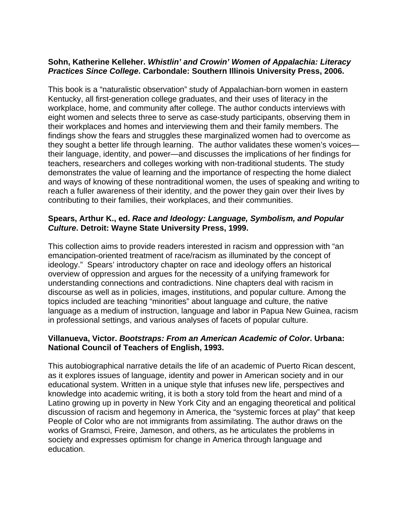## **Sohn, Katherine Kelleher.** *Whistlin' and Crowin' Women of Appalachia: Literacy Practices Since College***. Carbondale: Southern Illinois University Press, 2006.**

This book is a "naturalistic observation" study of Appalachian-born women in eastern Kentucky, all first-generation college graduates, and their uses of literacy in the workplace, home, and community after college. The author conducts interviews with eight women and selects three to serve as case-study participants, observing them in their workplaces and homes and interviewing them and their family members. The findings show the fears and struggles these marginalized women had to overcome as they sought a better life through learning. The author validates these women's voices their language, identity, and power—and discusses the implications of her findings for teachers, researchers and colleges working with non-traditional students. The study demonstrates the value of learning and the importance of respecting the home dialect and ways of knowing of these nontraditional women, the uses of speaking and writing to reach a fuller awareness of their identity, and the power they gain over their lives by contributing to their families, their workplaces, and their communities.

## **Spears, Arthur K., ed.** *Race and Ideology: Language, Symbolism, and Popular Culture***. Detroit: Wayne State University Press, 1999.**

This collection aims to provide readers interested in racism and oppression with "an emancipation-oriented treatment of race/racism as illuminated by the concept of ideology." Spears' introductory chapter on race and ideology offers an historical overview of oppression and argues for the necessity of a unifying framework for understanding connections and contradictions. Nine chapters deal with racism in discourse as well as in policies, images, institutions, and popular culture. Among the topics included are teaching "minorities" about language and culture, the native language as a medium of instruction, language and labor in Papua New Guinea, racism in professional settings, and various analyses of facets of popular culture.

## **Villanueva, Victor.** *Bootstraps: From an American Academic of Color***. Urbana: National Council of Teachers of English, 1993.**

This autobiographical narrative details the life of an academic of Puerto Rican descent, as it explores issues of language, identity and power in American society and in our educational system. Written in a unique style that infuses new life, perspectives and knowledge into academic writing, it is both a story told from the heart and mind of a Latino growing up in poverty in New York City and an engaging theoretical and political discussion of racism and hegemony in America, the "systemic forces at play" that keep People of Color who are not immigrants from assimilating. The author draws on the works of Gramsci, Freire, Jameson, and others, as he articulates the problems in society and expresses optimism for change in America through language and education.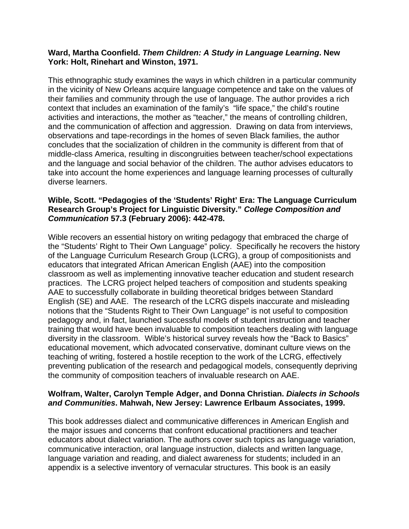## **Ward, Martha Coonfield.** *Them Children: A Study in Language Learning***. New York: Holt, Rinehart and Winston, 1971.**

This ethnographic study examines the ways in which children in a particular community in the vicinity of New Orleans acquire language competence and take on the values of their families and community through the use of language. The author provides a rich context that includes an examination of the family's "life space," the child's routine activities and interactions, the mother as "teacher," the means of controlling children, and the communication of affection and aggression. Drawing on data from interviews, observations and tape-recordings in the homes of seven Black families, the author concludes that the socialization of children in the community is different from that of middle-class America, resulting in discongruities between teacher/school expectations and the language and social behavior of the children. The author advises educators to take into account the home experiences and language learning processes of culturally diverse learners.

## **Wible, Scott. "Pedagogies of the 'Students' Right' Era: The Language Curriculum Research Group's Project for Linguistic Diversity."** *College Composition and Communication* **57.3 (February 2006): 442-478.**

Wible recovers an essential history on writing pedagogy that embraced the charge of the "Students' Right to Their Own Language" policy. Specifically he recovers the history of the Language Curriculum Research Group (LCRG), a group of compositionists and educators that integrated African American English (AAE) into the composition classroom as well as implementing innovative teacher education and student research practices. The LCRG project helped teachers of composition and students speaking AAE to successfully collaborate in building theoretical bridges between Standard English (SE) and AAE. The research of the LCRG dispels inaccurate and misleading notions that the "Students Right to Their Own Language" is not useful to composition pedagogy and, in fact, launched successful models of student instruction and teacher training that would have been invaluable to composition teachers dealing with language diversity in the classroom. Wible's historical survey reveals how the "Back to Basics" educational movement, which advocated conservative, dominant culture views on the teaching of writing, fostered a hostile reception to the work of the LCRG, effectively preventing publication of the research and pedagogical models, consequently depriving the community of composition teachers of invaluable research on AAE.

## **Wolfram, Walter, Carolyn Temple Adger, and Donna Christian.** *Dialects in Schools and Communities***. Mahwah, New Jersey: Lawrence Erlbaum Associates, 1999.**

This book addresses dialect and communicative differences in American English and the major issues and concerns that confront educational practitioners and teacher educators about dialect variation. The authors cover such topics as language variation, communicative interaction, oral language instruction, dialects and written language, language variation and reading, and dialect awareness for students; included in an appendix is a selective inventory of vernacular structures. This book is an easily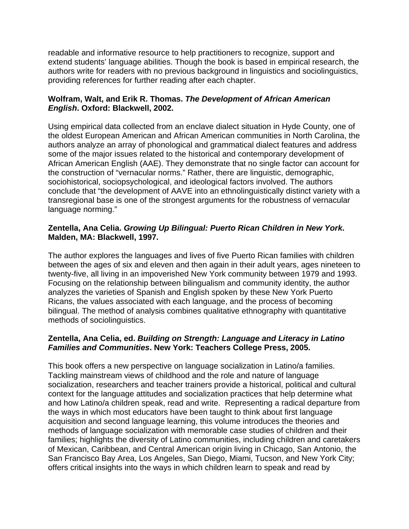readable and informative resource to help practitioners to recognize, support and extend students' language abilities. Though the book is based in empirical research, the authors write for readers with no previous background in linguistics and sociolinguistics, providing references for further reading after each chapter.

## **Wolfram, Walt, and Erik R. Thomas.** *The Development of African American English***. Oxford: Blackwell, 2002.**

Using empirical data collected from an enclave dialect situation in Hyde County, one of the oldest European American and African American communities in North Carolina, the authors analyze an array of phonological and grammatical dialect features and address some of the major issues related to the historical and contemporary development of African American English (AAE). They demonstrate that no single factor can account for the construction of "vernacular norms." Rather, there are linguistic, demographic, sociohistorical, sociopsychological, and ideological factors involved. The authors conclude that "the development of AAVE into an ethnolinguistically distinct variety with a transregional base is one of the strongest arguments for the robustness of vernacular language norming."

## **Zentella, Ana Celia.** *Growing Up Bilingual: Puerto Rican Children in New York***. Malden, MA: Blackwell, 1997.**

The author explores the languages and lives of five Puerto Rican families with children between the ages of six and eleven and then again in their adult years, ages nineteen to twenty-five, all living in an impoverished New York community between 1979 and 1993. Focusing on the relationship between bilingualism and community identity, the author analyzes the varieties of Spanish and English spoken by these New York Puerto Ricans, the values associated with each language, and the process of becoming bilingual. The method of analysis combines qualitative ethnography with quantitative methods of sociolinguistics.

## **Zentella, Ana Celia, ed.** *Building on Strength: Language and Literacy in Latino Families and Communities***. New York: Teachers College Press, 2005.**

This book offers a new perspective on language socialization in Latino/a families. Tackling mainstream views of childhood and the role and nature of language socialization, researchers and teacher trainers provide a historical, political and cultural context for the language attitudes and socialization practices that help determine what and how Latino/a children speak, read and write. Representing a radical departure from the ways in which most educators have been taught to think about first language acquisition and second language learning, this volume introduces the theories and methods of language socialization with memorable case studies of children and their families; highlights the diversity of Latino communities, including children and caretakers of Mexican, Caribbean, and Central American origin living in Chicago, San Antonio, the San Francisco Bay Area, Los Angeles, San Diego, Miami, Tucson, and New York City; offers critical insights into the ways in which children learn to speak and read by